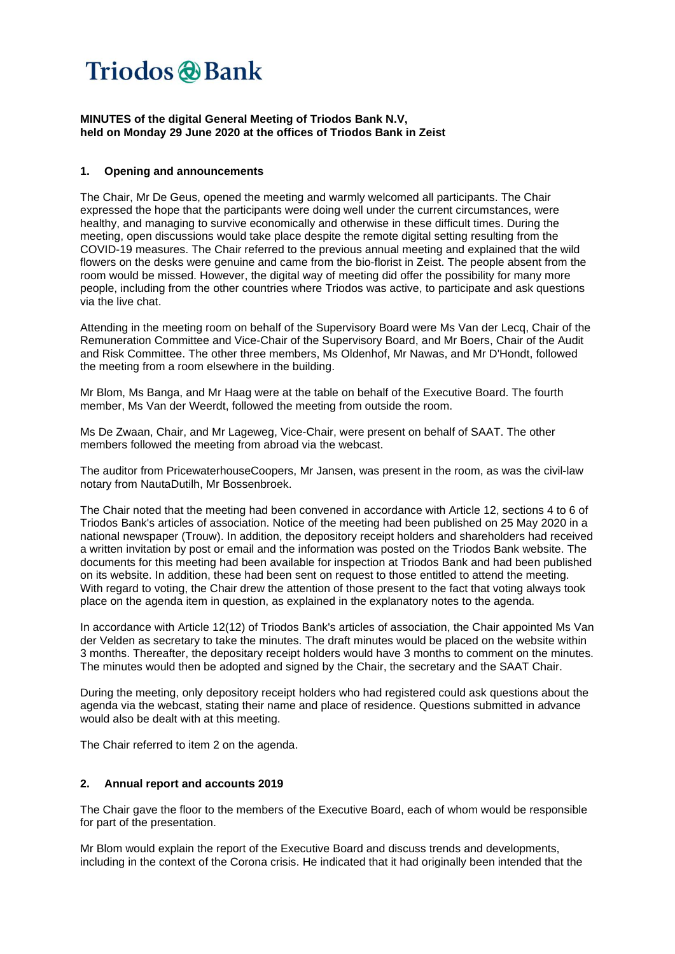### **MINUTES of the digital General Meeting of Triodos Bank N.V, held on Monday 29 June 2020 at the offices of Triodos Bank in Zeist**

### **1. Opening and announcements**

The Chair, Mr De Geus, opened the meeting and warmly welcomed all participants. The Chair expressed the hope that the participants were doing well under the current circumstances, were healthy, and managing to survive economically and otherwise in these difficult times. During the meeting, open discussions would take place despite the remote digital setting resulting from the COVID-19 measures. The Chair referred to the previous annual meeting and explained that the wild flowers on the desks were genuine and came from the bio-florist in Zeist. The people absent from the room would be missed. However, the digital way of meeting did offer the possibility for many more people, including from the other countries where Triodos was active, to participate and ask questions via the live chat.

Attending in the meeting room on behalf of the Supervisory Board were Ms Van der Lecq, Chair of the Remuneration Committee and Vice-Chair of the Supervisory Board, and Mr Boers, Chair of the Audit and Risk Committee. The other three members, Ms Oldenhof, Mr Nawas, and Mr D'Hondt, followed the meeting from a room elsewhere in the building.

Mr Blom, Ms Banga, and Mr Haag were at the table on behalf of the Executive Board. The fourth member, Ms Van der Weerdt, followed the meeting from outside the room.

Ms De Zwaan, Chair, and Mr Lageweg, Vice-Chair, were present on behalf of SAAT. The other members followed the meeting from abroad via the webcast.

The auditor from PricewaterhouseCoopers, Mr Jansen, was present in the room, as was the civil-law notary from NautaDutilh, Mr Bossenbroek.

The Chair noted that the meeting had been convened in accordance with Article 12, sections 4 to 6 of Triodos Bank's articles of association. Notice of the meeting had been published on 25 May 2020 in a national newspaper (Trouw). In addition, the depository receipt holders and shareholders had received a written invitation by post or email and the information was posted on the Triodos Bank website. The documents for this meeting had been available for inspection at Triodos Bank and had been published on its website. In addition, these had been sent on request to those entitled to attend the meeting. With regard to voting, the Chair drew the attention of those present to the fact that voting always took place on the agenda item in question, as explained in the explanatory notes to the agenda.

In accordance with Article 12(12) of Triodos Bank's articles of association, the Chair appointed Ms Van der Velden as secretary to take the minutes. The draft minutes would be placed on the website within 3 months. Thereafter, the depositary receipt holders would have 3 months to comment on the minutes. The minutes would then be adopted and signed by the Chair, the secretary and the SAAT Chair.

During the meeting, only depository receipt holders who had registered could ask questions about the agenda via the webcast, stating their name and place of residence. Questions submitted in advance would also be dealt with at this meeting.

The Chair referred to item 2 on the agenda.

#### **2. Annual report and accounts 2019**

The Chair gave the floor to the members of the Executive Board, each of whom would be responsible for part of the presentation.

Mr Blom would explain the report of the Executive Board and discuss trends and developments, including in the context of the Corona crisis. He indicated that it had originally been intended that the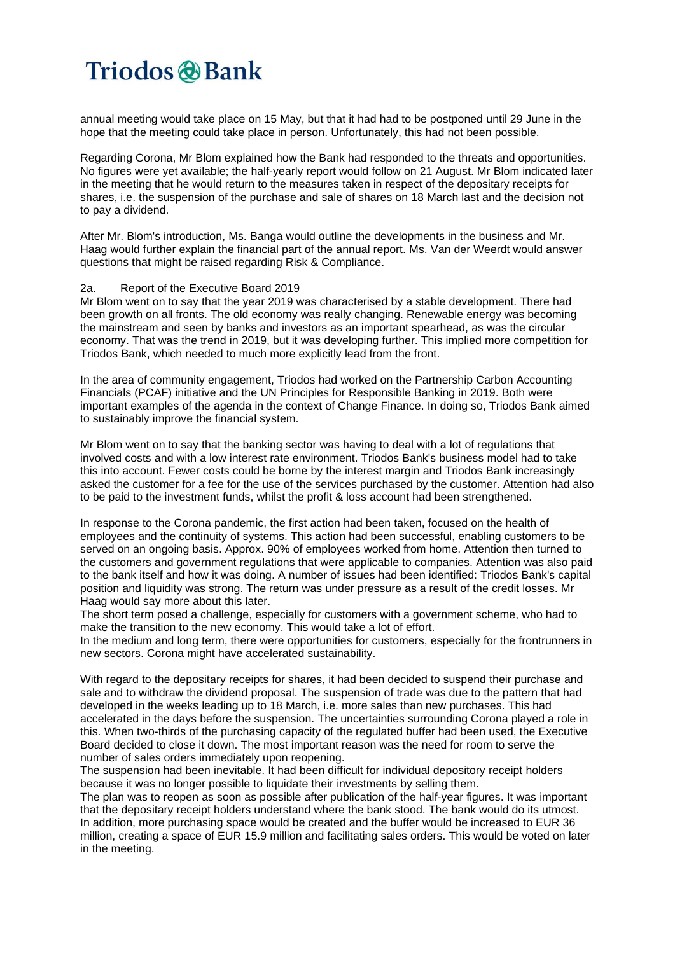annual meeting would take place on 15 May, but that it had had to be postponed until 29 June in the hope that the meeting could take place in person. Unfortunately, this had not been possible.

Regarding Corona, Mr Blom explained how the Bank had responded to the threats and opportunities. No figures were yet available; the half-yearly report would follow on 21 August. Mr Blom indicated later in the meeting that he would return to the measures taken in respect of the depositary receipts for shares, i.e. the suspension of the purchase and sale of shares on 18 March last and the decision not to pay a dividend.

After Mr. Blom's introduction, Ms. Banga would outline the developments in the business and Mr. Haag would further explain the financial part of the annual report. Ms. Van der Weerdt would answer questions that might be raised regarding Risk & Compliance.

#### 2a. Report of the Executive Board 2019

Mr Blom went on to say that the year 2019 was characterised by a stable development. There had been growth on all fronts. The old economy was really changing. Renewable energy was becoming the mainstream and seen by banks and investors as an important spearhead, as was the circular economy. That was the trend in 2019, but it was developing further. This implied more competition for Triodos Bank, which needed to much more explicitly lead from the front.

In the area of community engagement, Triodos had worked on the Partnership Carbon Accounting Financials (PCAF) initiative and the UN Principles for Responsible Banking in 2019. Both were important examples of the agenda in the context of Change Finance. In doing so, Triodos Bank aimed to sustainably improve the financial system.

Mr Blom went on to say that the banking sector was having to deal with a lot of regulations that involved costs and with a low interest rate environment. Triodos Bank's business model had to take this into account. Fewer costs could be borne by the interest margin and Triodos Bank increasingly asked the customer for a fee for the use of the services purchased by the customer. Attention had also to be paid to the investment funds, whilst the profit & loss account had been strengthened.

In response to the Corona pandemic, the first action had been taken, focused on the health of employees and the continuity of systems. This action had been successful, enabling customers to be served on an ongoing basis. Approx. 90% of employees worked from home. Attention then turned to the customers and government regulations that were applicable to companies. Attention was also paid to the bank itself and how it was doing. A number of issues had been identified: Triodos Bank's capital position and liquidity was strong. The return was under pressure as a result of the credit losses. Mr Haag would say more about this later.

The short term posed a challenge, especially for customers with a government scheme, who had to make the transition to the new economy. This would take a lot of effort.

In the medium and long term, there were opportunities for customers, especially for the frontrunners in new sectors. Corona might have accelerated sustainability.

With regard to the depositary receipts for shares, it had been decided to suspend their purchase and sale and to withdraw the dividend proposal. The suspension of trade was due to the pattern that had developed in the weeks leading up to 18 March, i.e. more sales than new purchases. This had accelerated in the days before the suspension. The uncertainties surrounding Corona played a role in this. When two-thirds of the purchasing capacity of the regulated buffer had been used, the Executive Board decided to close it down. The most important reason was the need for room to serve the number of sales orders immediately upon reopening.

The suspension had been inevitable. It had been difficult for individual depository receipt holders because it was no longer possible to liquidate their investments by selling them.

The plan was to reopen as soon as possible after publication of the half-year figures. It was important that the depositary receipt holders understand where the bank stood. The bank would do its utmost. In addition, more purchasing space would be created and the buffer would be increased to EUR 36 million, creating a space of EUR 15.9 million and facilitating sales orders. This would be voted on later in the meeting.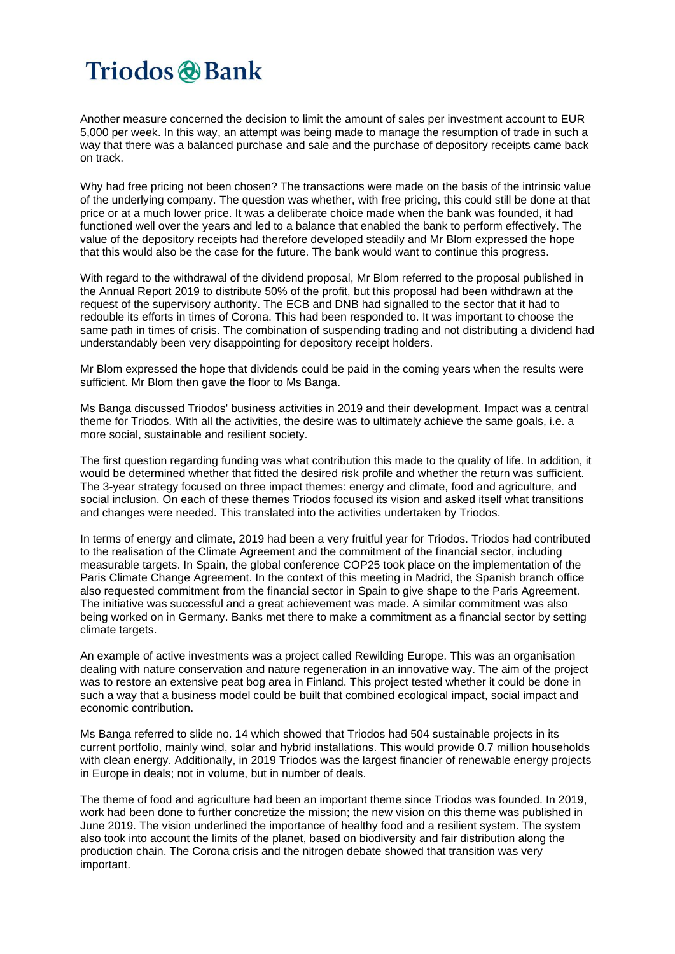Another measure concerned the decision to limit the amount of sales per investment account to EUR 5,000 per week. In this way, an attempt was being made to manage the resumption of trade in such a way that there was a balanced purchase and sale and the purchase of depository receipts came back on track.

Why had free pricing not been chosen? The transactions were made on the basis of the intrinsic value of the underlying company. The question was whether, with free pricing, this could still be done at that price or at a much lower price. It was a deliberate choice made when the bank was founded, it had functioned well over the years and led to a balance that enabled the bank to perform effectively. The value of the depository receipts had therefore developed steadily and Mr Blom expressed the hope that this would also be the case for the future. The bank would want to continue this progress.

With regard to the withdrawal of the dividend proposal, Mr Blom referred to the proposal published in the Annual Report 2019 to distribute 50% of the profit, but this proposal had been withdrawn at the request of the supervisory authority. The ECB and DNB had signalled to the sector that it had to redouble its efforts in times of Corona. This had been responded to. It was important to choose the same path in times of crisis. The combination of suspending trading and not distributing a dividend had understandably been very disappointing for depository receipt holders.

Mr Blom expressed the hope that dividends could be paid in the coming years when the results were sufficient. Mr Blom then gave the floor to Ms Banga.

Ms Banga discussed Triodos' business activities in 2019 and their development. Impact was a central theme for Triodos. With all the activities, the desire was to ultimately achieve the same goals, i.e. a more social, sustainable and resilient society.

The first question regarding funding was what contribution this made to the quality of life. In addition, it would be determined whether that fitted the desired risk profile and whether the return was sufficient. The 3-year strategy focused on three impact themes: energy and climate, food and agriculture, and social inclusion. On each of these themes Triodos focused its vision and asked itself what transitions and changes were needed. This translated into the activities undertaken by Triodos.

In terms of energy and climate, 2019 had been a very fruitful year for Triodos. Triodos had contributed to the realisation of the Climate Agreement and the commitment of the financial sector, including measurable targets. In Spain, the global conference COP25 took place on the implementation of the Paris Climate Change Agreement. In the context of this meeting in Madrid, the Spanish branch office also requested commitment from the financial sector in Spain to give shape to the Paris Agreement. The initiative was successful and a great achievement was made. A similar commitment was also being worked on in Germany. Banks met there to make a commitment as a financial sector by setting climate targets.

An example of active investments was a project called Rewilding Europe. This was an organisation dealing with nature conservation and nature regeneration in an innovative way. The aim of the project was to restore an extensive peat bog area in Finland. This project tested whether it could be done in such a way that a business model could be built that combined ecological impact, social impact and economic contribution.

Ms Banga referred to slide no. 14 which showed that Triodos had 504 sustainable projects in its current portfolio, mainly wind, solar and hybrid installations. This would provide 0.7 million households with clean energy. Additionally, in 2019 Triodos was the largest financier of renewable energy projects in Europe in deals; not in volume, but in number of deals.

The theme of food and agriculture had been an important theme since Triodos was founded. In 2019, work had been done to further concretize the mission; the new vision on this theme was published in June 2019. The vision underlined the importance of healthy food and a resilient system. The system also took into account the limits of the planet, based on biodiversity and fair distribution along the production chain. The Corona crisis and the nitrogen debate showed that transition was very important.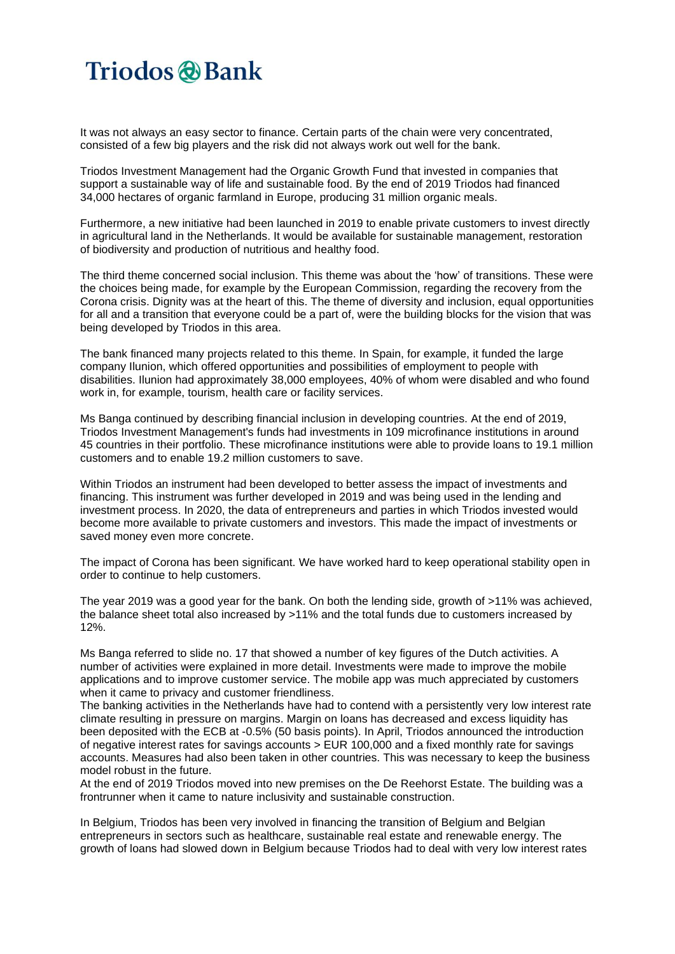It was not always an easy sector to finance. Certain parts of the chain were very concentrated, consisted of a few big players and the risk did not always work out well for the bank.

Triodos Investment Management had the Organic Growth Fund that invested in companies that support a sustainable way of life and sustainable food. By the end of 2019 Triodos had financed 34,000 hectares of organic farmland in Europe, producing 31 million organic meals.

Furthermore, a new initiative had been launched in 2019 to enable private customers to invest directly in agricultural land in the Netherlands. It would be available for sustainable management, restoration of biodiversity and production of nutritious and healthy food.

The third theme concerned social inclusion. This theme was about the 'how' of transitions. These were the choices being made, for example by the European Commission, regarding the recovery from the Corona crisis. Dignity was at the heart of this. The theme of diversity and inclusion, equal opportunities for all and a transition that everyone could be a part of, were the building blocks for the vision that was being developed by Triodos in this area.

The bank financed many projects related to this theme. In Spain, for example, it funded the large company Ilunion, which offered opportunities and possibilities of employment to people with disabilities. Ilunion had approximately 38,000 employees, 40% of whom were disabled and who found work in, for example, tourism, health care or facility services.

Ms Banga continued by describing financial inclusion in developing countries. At the end of 2019, Triodos Investment Management's funds had investments in 109 microfinance institutions in around 45 countries in their portfolio. These microfinance institutions were able to provide loans to 19.1 million customers and to enable 19.2 million customers to save.

Within Triodos an instrument had been developed to better assess the impact of investments and financing. This instrument was further developed in 2019 and was being used in the lending and investment process. In 2020, the data of entrepreneurs and parties in which Triodos invested would become more available to private customers and investors. This made the impact of investments or saved money even more concrete.

The impact of Corona has been significant. We have worked hard to keep operational stability open in order to continue to help customers.

The year 2019 was a good year for the bank. On both the lending side, growth of >11% was achieved, the balance sheet total also increased by >11% and the total funds due to customers increased by 12%.

Ms Banga referred to slide no. 17 that showed a number of key figures of the Dutch activities. A number of activities were explained in more detail. Investments were made to improve the mobile applications and to improve customer service. The mobile app was much appreciated by customers when it came to privacy and customer friendliness.

The banking activities in the Netherlands have had to contend with a persistently very low interest rate climate resulting in pressure on margins. Margin on loans has decreased and excess liquidity has been deposited with the ECB at -0.5% (50 basis points). In April, Triodos announced the introduction of negative interest rates for savings accounts > EUR 100,000 and a fixed monthly rate for savings accounts. Measures had also been taken in other countries. This was necessary to keep the business model robust in the future.

At the end of 2019 Triodos moved into new premises on the De Reehorst Estate. The building was a frontrunner when it came to nature inclusivity and sustainable construction.

In Belgium, Triodos has been very involved in financing the transition of Belgium and Belgian entrepreneurs in sectors such as healthcare, sustainable real estate and renewable energy. The growth of loans had slowed down in Belgium because Triodos had to deal with very low interest rates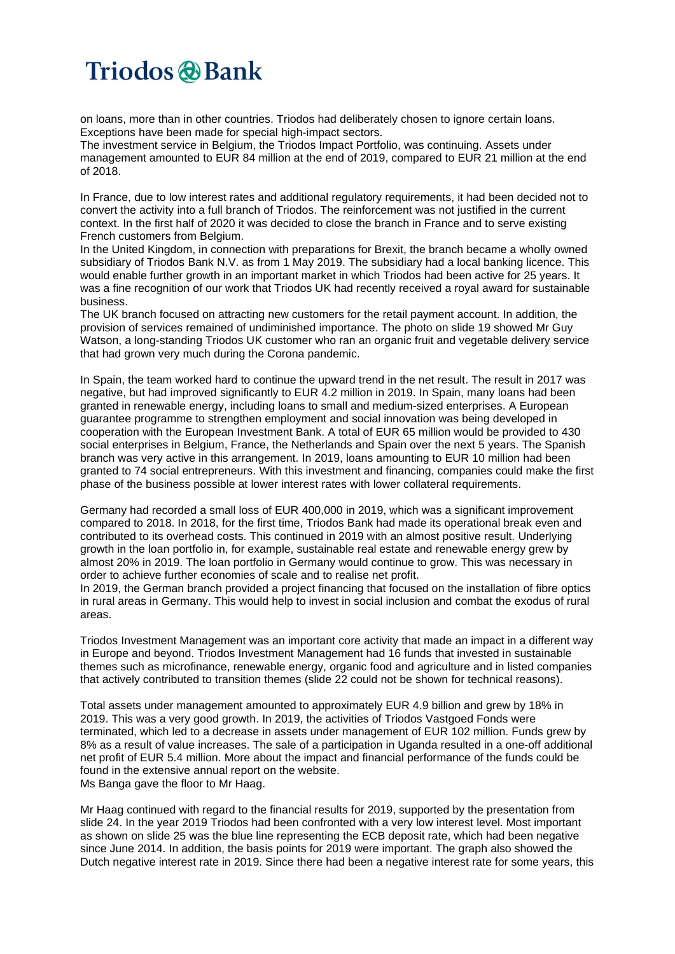on loans, more than in other countries. Triodos had deliberately chosen to ignore certain loans. Exceptions have been made for special high-impact sectors.

The investment service in Belgium, the Triodos Impact Portfolio, was continuing. Assets under management amounted to EUR 84 million at the end of 2019, compared to EUR 21 million at the end of 2018.

In France, due to low interest rates and additional regulatory requirements, it had been decided not to convert the activity into a full branch of Triodos. The reinforcement was not justified in the current context. In the first half of 2020 it was decided to close the branch in France and to serve existing French customers from Belgium.

In the United Kingdom, in connection with preparations for Brexit, the branch became a wholly owned subsidiary of Triodos Bank N.V. as from 1 May 2019. The subsidiary had a local banking licence. This would enable further growth in an important market in which Triodos had been active for 25 years. It was a fine recognition of our work that Triodos UK had recently received a royal award for sustainable business.

The UK branch focused on attracting new customers for the retail payment account. In addition, the provision of services remained of undiminished importance. The photo on slide 19 showed Mr Guy Watson, a long-standing Triodos UK customer who ran an organic fruit and vegetable delivery service that had grown very much during the Corona pandemic.

In Spain, the team worked hard to continue the upward trend in the net result. The result in 2017 was negative, but had improved significantly to EUR 4.2 million in 2019. In Spain, many loans had been granted in renewable energy, including loans to small and medium-sized enterprises. A European guarantee programme to strengthen employment and social innovation was being developed in cooperation with the European Investment Bank. A total of EUR 65 million would be provided to 430 social enterprises in Belgium, France, the Netherlands and Spain over the next 5 years. The Spanish branch was very active in this arrangement. In 2019, loans amounting to EUR 10 million had been granted to 74 social entrepreneurs. With this investment and financing, companies could make the first phase of the business possible at lower interest rates with lower collateral requirements.

Germany had recorded a small loss of EUR 400,000 in 2019, which was a significant improvement compared to 2018. In 2018, for the first time, Triodos Bank had made its operational break even and contributed to its overhead costs. This continued in 2019 with an almost positive result. Underlying growth in the loan portfolio in, for example, sustainable real estate and renewable energy grew by almost 20% in 2019. The loan portfolio in Germany would continue to grow. This was necessary in order to achieve further economies of scale and to realise net profit.

In 2019, the German branch provided a project financing that focused on the installation of fibre optics in rural areas in Germany. This would help to invest in social inclusion and combat the exodus of rural areas.

Triodos Investment Management was an important core activity that made an impact in a different way in Europe and beyond. Triodos Investment Management had 16 funds that invested in sustainable themes such as microfinance, renewable energy, organic food and agriculture and in listed companies that actively contributed to transition themes (slide 22 could not be shown for technical reasons).

Total assets under management amounted to approximately EUR 4.9 billion and grew by 18% in 2019. This was a very good growth. In 2019, the activities of Triodos Vastgoed Fonds were terminated, which led to a decrease in assets under management of EUR 102 million. Funds grew by 8% as a result of value increases. The sale of a participation in Uganda resulted in a one-off additional net profit of EUR 5.4 million. More about the impact and financial performance of the funds could be found in the extensive annual report on the website. Ms Banga gave the floor to Mr Haag.

Mr Haag continued with regard to the financial results for 2019, supported by the presentation from slide 24. In the year 2019 Triodos had been confronted with a very low interest level. Most important as shown on slide 25 was the blue line representing the ECB deposit rate, which had been negative since June 2014. In addition, the basis points for 2019 were important. The graph also showed the Dutch negative interest rate in 2019. Since there had been a negative interest rate for some years, this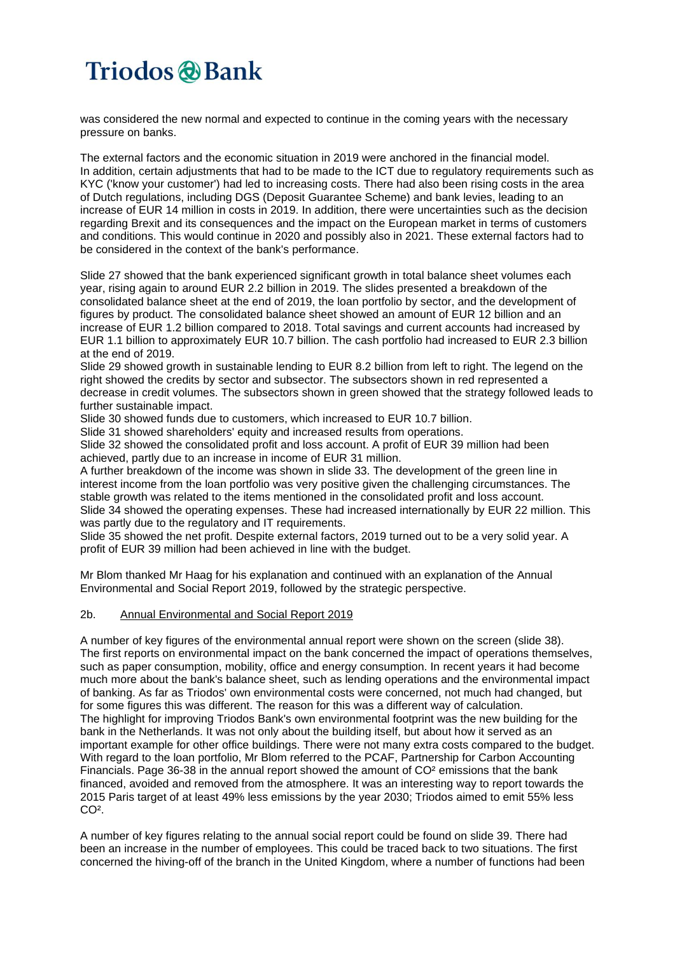was considered the new normal and expected to continue in the coming years with the necessary pressure on banks.

The external factors and the economic situation in 2019 were anchored in the financial model. In addition, certain adjustments that had to be made to the ICT due to regulatory requirements such as KYC ('know your customer') had led to increasing costs. There had also been rising costs in the area of Dutch regulations, including DGS (Deposit Guarantee Scheme) and bank levies, leading to an increase of EUR 14 million in costs in 2019. In addition, there were uncertainties such as the decision regarding Brexit and its consequences and the impact on the European market in terms of customers and conditions. This would continue in 2020 and possibly also in 2021. These external factors had to be considered in the context of the bank's performance.

Slide 27 showed that the bank experienced significant growth in total balance sheet volumes each year, rising again to around EUR 2.2 billion in 2019. The slides presented a breakdown of the consolidated balance sheet at the end of 2019, the loan portfolio by sector, and the development of figures by product. The consolidated balance sheet showed an amount of EUR 12 billion and an increase of EUR 1.2 billion compared to 2018. Total savings and current accounts had increased by EUR 1.1 billion to approximately EUR 10.7 billion. The cash portfolio had increased to EUR 2.3 billion at the end of 2019.

Slide 29 showed growth in sustainable lending to EUR 8.2 billion from left to right. The legend on the right showed the credits by sector and subsector. The subsectors shown in red represented a decrease in credit volumes. The subsectors shown in green showed that the strategy followed leads to further sustainable impact.

Slide 30 showed funds due to customers, which increased to EUR 10.7 billion.

Slide 31 showed shareholders' equity and increased results from operations.

Slide 32 showed the consolidated profit and loss account. A profit of EUR 39 million had been achieved, partly due to an increase in income of EUR 31 million.

A further breakdown of the income was shown in slide 33. The development of the green line in interest income from the loan portfolio was very positive given the challenging circumstances. The stable growth was related to the items mentioned in the consolidated profit and loss account. Slide 34 showed the operating expenses. These had increased internationally by EUR 22 million. This was partly due to the regulatory and IT requirements.

Slide 35 showed the net profit. Despite external factors, 2019 turned out to be a very solid year. A profit of EUR 39 million had been achieved in line with the budget.

Mr Blom thanked Mr Haag for his explanation and continued with an explanation of the Annual Environmental and Social Report 2019, followed by the strategic perspective.

### 2b. Annual Environmental and Social Report 2019

A number of key figures of the environmental annual report were shown on the screen (slide 38). The first reports on environmental impact on the bank concerned the impact of operations themselves, such as paper consumption, mobility, office and energy consumption. In recent years it had become much more about the bank's balance sheet, such as lending operations and the environmental impact of banking. As far as Triodos' own environmental costs were concerned, not much had changed, but for some figures this was different. The reason for this was a different way of calculation. The highlight for improving Triodos Bank's own environmental footprint was the new building for the bank in the Netherlands. It was not only about the building itself, but about how it served as an important example for other office buildings. There were not many extra costs compared to the budget. With regard to the loan portfolio, Mr Blom referred to the PCAF, Partnership for Carbon Accounting Financials. Page 36-38 in the annual report showed the amount of CO² emissions that the bank financed, avoided and removed from the atmosphere. It was an interesting way to report towards the 2015 Paris target of at least 49% less emissions by the year 2030; Triodos aimed to emit 55% less CO<sup>2</sup>.

A number of key figures relating to the annual social report could be found on slide 39. There had been an increase in the number of employees. This could be traced back to two situations. The first concerned the hiving-off of the branch in the United Kingdom, where a number of functions had been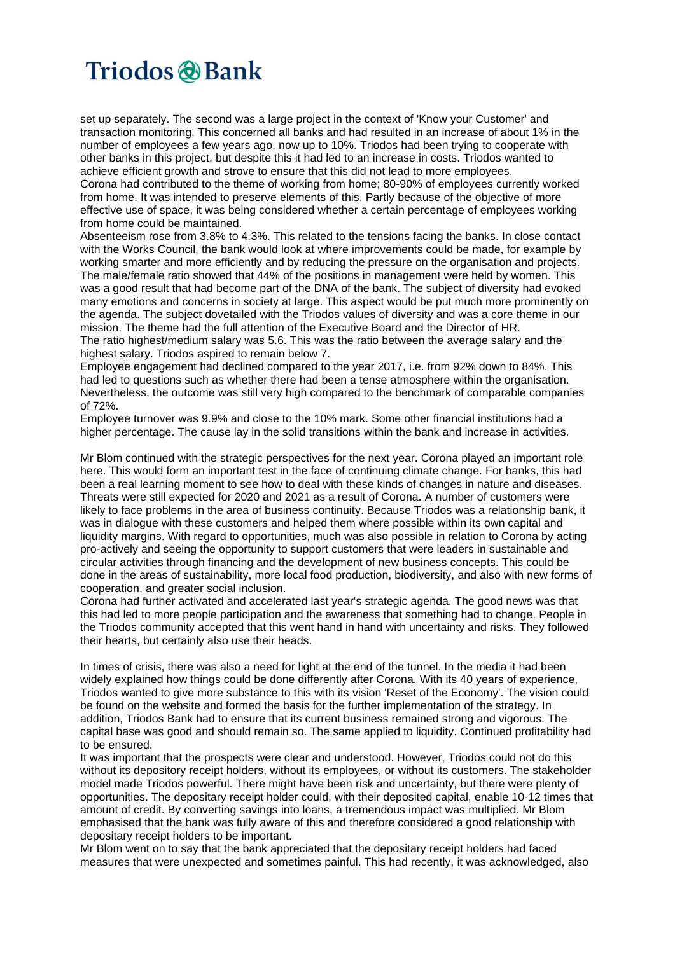set up separately. The second was a large project in the context of 'Know your Customer' and transaction monitoring. This concerned all banks and had resulted in an increase of about 1% in the number of employees a few years ago, now up to 10%. Triodos had been trying to cooperate with other banks in this project, but despite this it had led to an increase in costs. Triodos wanted to achieve efficient growth and strove to ensure that this did not lead to more employees.

Corona had contributed to the theme of working from home; 80-90% of employees currently worked from home. It was intended to preserve elements of this. Partly because of the objective of more effective use of space, it was being considered whether a certain percentage of employees working from home could be maintained.

Absenteeism rose from 3.8% to 4.3%. This related to the tensions facing the banks. In close contact with the Works Council, the bank would look at where improvements could be made, for example by working smarter and more efficiently and by reducing the pressure on the organisation and projects. The male/female ratio showed that 44% of the positions in management were held by women. This was a good result that had become part of the DNA of the bank. The subject of diversity had evoked many emotions and concerns in society at large. This aspect would be put much more prominently on the agenda. The subject dovetailed with the Triodos values of diversity and was a core theme in our mission. The theme had the full attention of the Executive Board and the Director of HR.

The ratio highest/medium salary was 5.6. This was the ratio between the average salary and the highest salary. Triodos aspired to remain below 7.

Employee engagement had declined compared to the year 2017, i.e. from 92% down to 84%. This had led to questions such as whether there had been a tense atmosphere within the organisation. Nevertheless, the outcome was still very high compared to the benchmark of comparable companies of 72%.

Employee turnover was 9.9% and close to the 10% mark. Some other financial institutions had a higher percentage. The cause lay in the solid transitions within the bank and increase in activities.

Mr Blom continued with the strategic perspectives for the next year. Corona played an important role here. This would form an important test in the face of continuing climate change. For banks, this had been a real learning moment to see how to deal with these kinds of changes in nature and diseases. Threats were still expected for 2020 and 2021 as a result of Corona. A number of customers were likely to face problems in the area of business continuity. Because Triodos was a relationship bank, it was in dialogue with these customers and helped them where possible within its own capital and liquidity margins. With regard to opportunities, much was also possible in relation to Corona by acting pro-actively and seeing the opportunity to support customers that were leaders in sustainable and circular activities through financing and the development of new business concepts. This could be done in the areas of sustainability, more local food production, biodiversity, and also with new forms of cooperation, and greater social inclusion.

Corona had further activated and accelerated last year's strategic agenda. The good news was that this had led to more people participation and the awareness that something had to change. People in the Triodos community accepted that this went hand in hand with uncertainty and risks. They followed their hearts, but certainly also use their heads.

In times of crisis, there was also a need for light at the end of the tunnel. In the media it had been widely explained how things could be done differently after Corona. With its 40 years of experience, Triodos wanted to give more substance to this with its vision 'Reset of the Economy'. The vision could be found on the website and formed the basis for the further implementation of the strategy. In addition, Triodos Bank had to ensure that its current business remained strong and vigorous. The capital base was good and should remain so. The same applied to liquidity. Continued profitability had to be ensured.

It was important that the prospects were clear and understood. However, Triodos could not do this without its depository receipt holders, without its employees, or without its customers. The stakeholder model made Triodos powerful. There might have been risk and uncertainty, but there were plenty of opportunities. The depositary receipt holder could, with their deposited capital, enable 10-12 times that amount of credit. By converting savings into loans, a tremendous impact was multiplied. Mr Blom emphasised that the bank was fully aware of this and therefore considered a good relationship with depositary receipt holders to be important.

Mr Blom went on to say that the bank appreciated that the depositary receipt holders had faced measures that were unexpected and sometimes painful. This had recently, it was acknowledged, also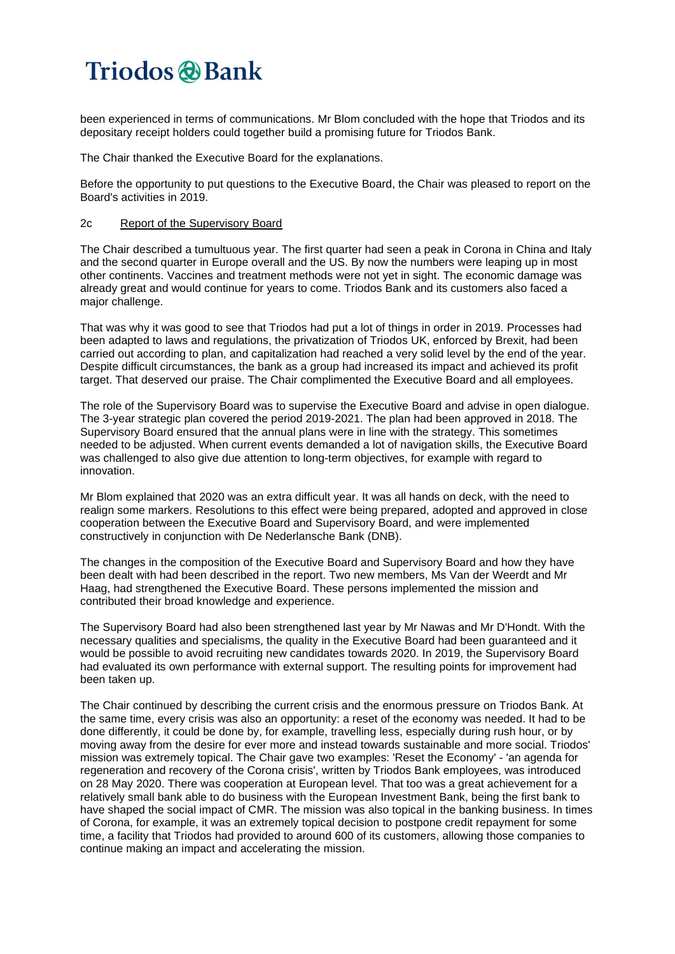been experienced in terms of communications. Mr Blom concluded with the hope that Triodos and its depositary receipt holders could together build a promising future for Triodos Bank.

The Chair thanked the Executive Board for the explanations.

Before the opportunity to put questions to the Executive Board, the Chair was pleased to report on the Board's activities in 2019.

### 2c Report of the Supervisory Board

The Chair described a tumultuous year. The first quarter had seen a peak in Corona in China and Italy and the second quarter in Europe overall and the US. By now the numbers were leaping up in most other continents. Vaccines and treatment methods were not yet in sight. The economic damage was already great and would continue for years to come. Triodos Bank and its customers also faced a major challenge.

That was why it was good to see that Triodos had put a lot of things in order in 2019. Processes had been adapted to laws and regulations, the privatization of Triodos UK, enforced by Brexit, had been carried out according to plan, and capitalization had reached a very solid level by the end of the year. Despite difficult circumstances, the bank as a group had increased its impact and achieved its profit target. That deserved our praise. The Chair complimented the Executive Board and all employees.

The role of the Supervisory Board was to supervise the Executive Board and advise in open dialogue. The 3-year strategic plan covered the period 2019-2021. The plan had been approved in 2018. The Supervisory Board ensured that the annual plans were in line with the strategy. This sometimes needed to be adjusted. When current events demanded a lot of navigation skills, the Executive Board was challenged to also give due attention to long-term objectives, for example with regard to innovation.

Mr Blom explained that 2020 was an extra difficult year. It was all hands on deck, with the need to realign some markers. Resolutions to this effect were being prepared, adopted and approved in close cooperation between the Executive Board and Supervisory Board, and were implemented constructively in conjunction with De Nederlansche Bank (DNB).

The changes in the composition of the Executive Board and Supervisory Board and how they have been dealt with had been described in the report. Two new members, Ms Van der Weerdt and Mr Haag, had strengthened the Executive Board. These persons implemented the mission and contributed their broad knowledge and experience.

The Supervisory Board had also been strengthened last year by Mr Nawas and Mr D'Hondt. With the necessary qualities and specialisms, the quality in the Executive Board had been guaranteed and it would be possible to avoid recruiting new candidates towards 2020. In 2019, the Supervisory Board had evaluated its own performance with external support. The resulting points for improvement had been taken up.

The Chair continued by describing the current crisis and the enormous pressure on Triodos Bank. At the same time, every crisis was also an opportunity: a reset of the economy was needed. It had to be done differently, it could be done by, for example, travelling less, especially during rush hour, or by moving away from the desire for ever more and instead towards sustainable and more social. Triodos' mission was extremely topical. The Chair gave two examples: 'Reset the Economy' - 'an agenda for regeneration and recovery of the Corona crisis', written by Triodos Bank employees, was introduced on 28 May 2020. There was cooperation at European level. That too was a great achievement for a relatively small bank able to do business with the European Investment Bank, being the first bank to have shaped the social impact of CMR. The mission was also topical in the banking business. In times of Corona, for example, it was an extremely topical decision to postpone credit repayment for some time, a facility that Triodos had provided to around 600 of its customers, allowing those companies to continue making an impact and accelerating the mission.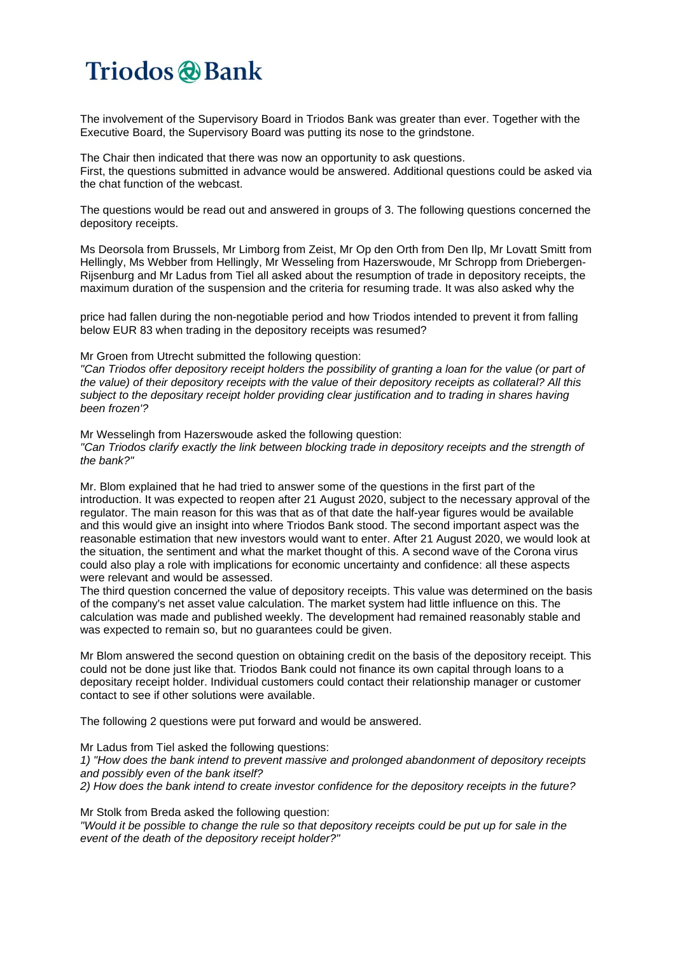The involvement of the Supervisory Board in Triodos Bank was greater than ever. Together with the Executive Board, the Supervisory Board was putting its nose to the grindstone.

The Chair then indicated that there was now an opportunity to ask questions. First, the questions submitted in advance would be answered. Additional questions could be asked via the chat function of the webcast.

The questions would be read out and answered in groups of 3. The following questions concerned the depository receipts.

Ms Deorsola from Brussels, Mr Limborg from Zeist, Mr Op den Orth from Den Ilp, Mr Lovatt Smitt from Hellingly, Ms Webber from Hellingly, Mr Wesseling from Hazerswoude, Mr Schropp from Driebergen-Rijsenburg and Mr Ladus from Tiel all asked about the resumption of trade in depository receipts, the maximum duration of the suspension and the criteria for resuming trade. It was also asked why the

price had fallen during the non-negotiable period and how Triodos intended to prevent it from falling below EUR 83 when trading in the depository receipts was resumed?

Mr Groen from Utrecht submitted the following question:

"Can Triodos offer depository receipt holders the possibility of granting a loan for the value (or part of the value) of their depository receipts with the value of their depository receipts as collateral? All this *subject to the depositary receipt holder providing clear justification and to trading in shares having been frozen'?*

Mr Wesselingh from Hazerswoude asked the following question: *"Can Triodos clarify exactly the link between blocking trade in depository receipts and the strength of the bank?"*

Mr. Blom explained that he had tried to answer some of the questions in the first part of the introduction. It was expected to reopen after 21 August 2020, subject to the necessary approval of the regulator. The main reason for this was that as of that date the half-year figures would be available and this would give an insight into where Triodos Bank stood. The second important aspect was the reasonable estimation that new investors would want to enter. After 21 August 2020, we would look at the situation, the sentiment and what the market thought of this. A second wave of the Corona virus could also play a role with implications for economic uncertainty and confidence: all these aspects were relevant and would be assessed.

The third question concerned the value of depository receipts. This value was determined on the basis of the company's net asset value calculation. The market system had little influence on this. The calculation was made and published weekly. The development had remained reasonably stable and was expected to remain so, but no guarantees could be given.

Mr Blom answered the second question on obtaining credit on the basis of the depository receipt. This could not be done just like that. Triodos Bank could not finance its own capital through loans to a depositary receipt holder. Individual customers could contact their relationship manager or customer contact to see if other solutions were available.

The following 2 questions were put forward and would be answered.

Mr Ladus from Tiel asked the following questions:

*1) "How does the bank intend to prevent massive and prolonged abandonment of depository receipts and possibly even of the bank itself?*

*2) How does the bank intend to create investor confidence for the depository receipts in the future?*

Mr Stolk from Breda asked the following question:

"Would it be possible to change the rule so that depository receipts could be put up for sale in the *event of the death of the depository receipt holder?"*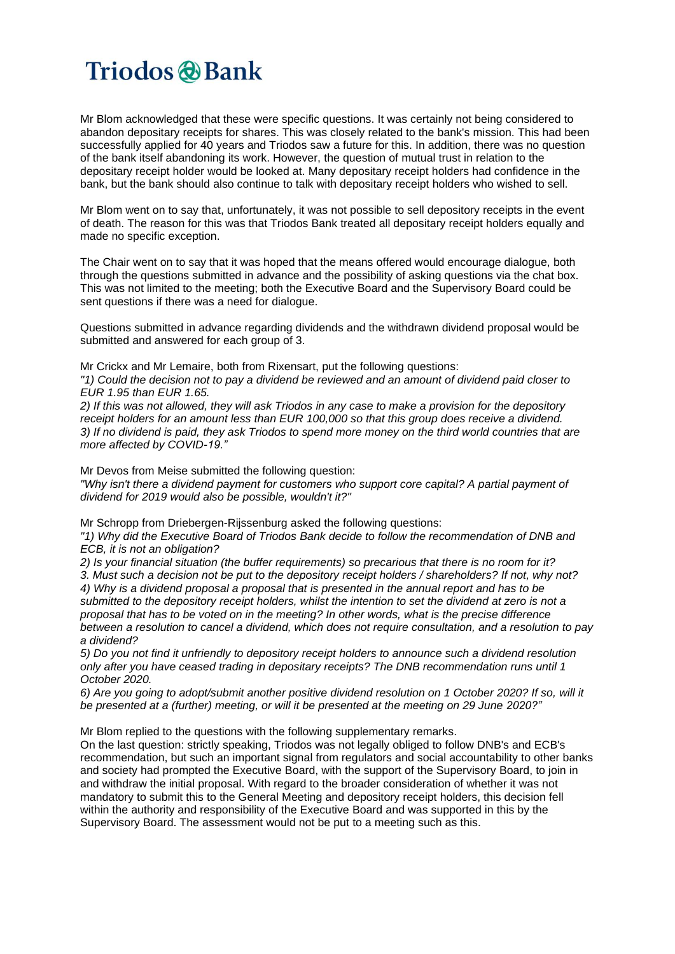Mr Blom acknowledged that these were specific questions. It was certainly not being considered to abandon depositary receipts for shares. This was closely related to the bank's mission. This had been successfully applied for 40 years and Triodos saw a future for this. In addition, there was no question of the bank itself abandoning its work. However, the question of mutual trust in relation to the depositary receipt holder would be looked at. Many depositary receipt holders had confidence in the bank, but the bank should also continue to talk with depositary receipt holders who wished to sell.

Mr Blom went on to say that, unfortunately, it was not possible to sell depository receipts in the event of death. The reason for this was that Triodos Bank treated all depositary receipt holders equally and made no specific exception.

The Chair went on to say that it was hoped that the means offered would encourage dialogue, both through the questions submitted in advance and the possibility of asking questions via the chat box. This was not limited to the meeting; both the Executive Board and the Supervisory Board could be sent questions if there was a need for dialogue.

Questions submitted in advance regarding dividends and the withdrawn dividend proposal would be submitted and answered for each group of 3.

Mr Crickx and Mr Lemaire, both from Rixensart, put the following questions:

"1) Could the decision not to pay a dividend be reviewed and an amount of dividend paid closer to *EUR 1.95 than EUR 1.65.*

2) If this was not allowed, they will ask Triodos in any case to make a provision for the depository *receipt holders for an amount less than EUR 100,000 so that this group does receive a dividend.* 3) If no dividend is paid, they ask Triodos to spend more money on the third world countries that are *more affected by COVID-19."*

Mr Devos from Meise submitted the following question: *"Why isn't there a dividend payment for customers who support core capital? A partial payment of dividend for 2019 would also be possible, wouldn't it?"*

Mr Schropp from Driebergen-Rijssenburg asked the following questions:

*"1) Why did the Executive Board of Triodos Bank decide to follow the recommendation of DNB and ECB, it is not an obligation?*

*2) Is your financial situation (the buffer requirements) so precarious that there is no room for it?* 3. Must such a decision not be put to the depository receipt holders / shareholders? If not, why not? 4) Why is a dividend proposal a proposal that is presented in the annual report and has to be submitted to the depository receipt holders, whilst the intention to set the dividend at zero is not a *proposal that has to be voted on in the meeting? In other words, what is the precise difference between a resolution to cancel a dividend, which does not require consultation, and a resolution to pay a dividend?*

*5) Do you not find it unfriendly to depository receipt holders to announce such a dividend resolution only after you have ceased trading in depositary receipts? The DNB recommendation runs until 1 October 2020.*

6) Are you going to adopt/submit another positive dividend resolution on 1 October 2020? If so, will it *be presented at a (further) meeting, or will it be presented at the meeting on 29 June 2020?"*

Mr Blom replied to the questions with the following supplementary remarks.

On the last question: strictly speaking, Triodos was not legally obliged to follow DNB's and ECB's recommendation, but such an important signal from regulators and social accountability to other banks and society had prompted the Executive Board, with the support of the Supervisory Board, to join in and withdraw the initial proposal. With regard to the broader consideration of whether it was not mandatory to submit this to the General Meeting and depository receipt holders, this decision fell within the authority and responsibility of the Executive Board and was supported in this by the Supervisory Board. The assessment would not be put to a meeting such as this.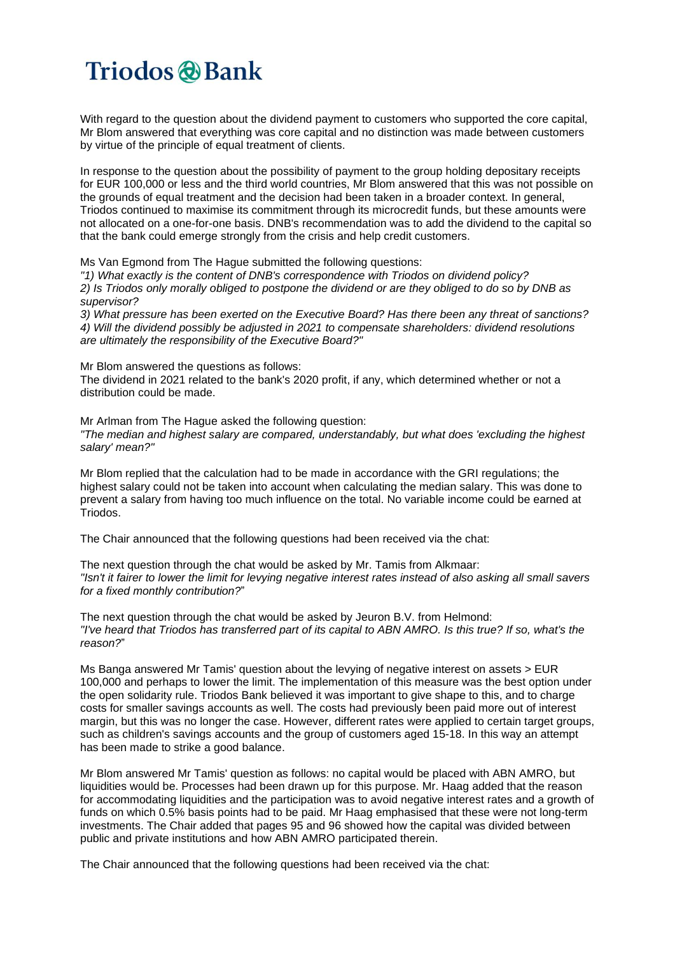With regard to the question about the dividend payment to customers who supported the core capital, Mr Blom answered that everything was core capital and no distinction was made between customers by virtue of the principle of equal treatment of clients.

In response to the question about the possibility of payment to the group holding depositary receipts for EUR 100,000 or less and the third world countries, Mr Blom answered that this was not possible on the grounds of equal treatment and the decision had been taken in a broader context. In general, Triodos continued to maximise its commitment through its microcredit funds, but these amounts were not allocated on a one-for-one basis. DNB's recommendation was to add the dividend to the capital so that the bank could emerge strongly from the crisis and help credit customers.

Ms Van Egmond from The Hague submitted the following questions:

*"1) What exactly is the content of DNB's correspondence with Triodos on dividend policy?* 2) Is Triodos only morally obliged to postpone the dividend or are they obliged to do so by DNB as *supervisor?*

*3) What pressure has been exerted on the Executive Board? Has there been any threat of sanctions? 4) Will the dividend possibly be adjusted in 2021 to compensate shareholders: dividend resolutions are ultimately the responsibility of the Executive Board?"*

Mr Blom answered the questions as follows:

The dividend in 2021 related to the bank's 2020 profit, if any, which determined whether or not a distribution could be made.

Mr Arlman from The Hague asked the following question: *"The median and highest salary are compared, understandably, but what does 'excluding the highest salary' mean?"*

Mr Blom replied that the calculation had to be made in accordance with the GRI regulations; the highest salary could not be taken into account when calculating the median salary. This was done to prevent a salary from having too much influence on the total. No variable income could be earned at Triodos.

The Chair announced that the following questions had been received via the chat:

The next question through the chat would be asked by Mr. Tamis from Alkmaar: "Isn't it fairer to lower the limit for levying negative interest rates instead of also asking all small savers *for a fixed monthly contribution?*"

The next question through the chat would be asked by Jeuron B.V. from Helmond: "I've heard that Triodos has transferred part of its capital to ABN AMRO. Is this true? If so, what's the *reason?*"

Ms Banga answered Mr Tamis' question about the levying of negative interest on assets > EUR 100,000 and perhaps to lower the limit. The implementation of this measure was the best option under the open solidarity rule. Triodos Bank believed it was important to give shape to this, and to charge costs for smaller savings accounts as well. The costs had previously been paid more out of interest margin, but this was no longer the case. However, different rates were applied to certain target groups, such as children's savings accounts and the group of customers aged 15-18. In this way an attempt has been made to strike a good balance.

Mr Blom answered Mr Tamis' question as follows: no capital would be placed with ABN AMRO, but liquidities would be. Processes had been drawn up for this purpose. Mr. Haag added that the reason for accommodating liquidities and the participation was to avoid negative interest rates and a growth of funds on which 0.5% basis points had to be paid. Mr Haag emphasised that these were not long-term investments. The Chair added that pages 95 and 96 showed how the capital was divided between public and private institutions and how ABN AMRO participated therein.

The Chair announced that the following questions had been received via the chat: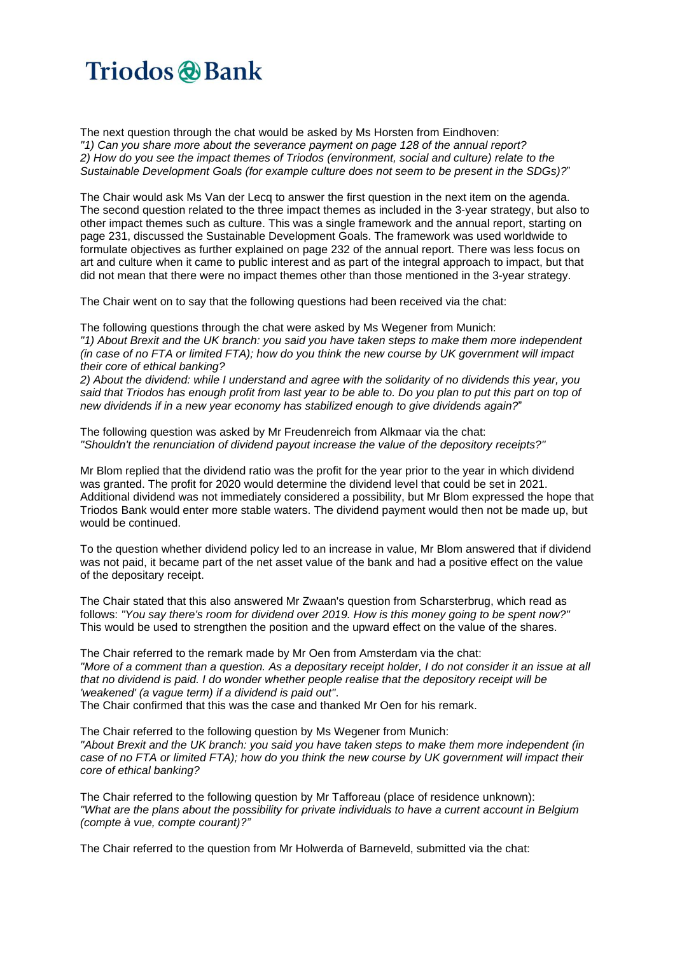The next question through the chat would be asked by Ms Horsten from Eindhoven: *"1) Can you share more about the severance payment on page 128 of the annual report? 2) How do you see the impact themes of Triodos (environment, social and culture) relate to the Sustainable Development Goals (for example culture does not seem to be present in the SDGs)?*"

The Chair would ask Ms Van der Lecq to answer the first question in the next item on the agenda. The second question related to the three impact themes as included in the 3-year strategy, but also to other impact themes such as culture. This was a single framework and the annual report, starting on page 231, discussed the Sustainable Development Goals. The framework was used worldwide to formulate objectives as further explained on page 232 of the annual report. There was less focus on art and culture when it came to public interest and as part of the integral approach to impact, but that did not mean that there were no impact themes other than those mentioned in the 3-year strategy.

The Chair went on to say that the following questions had been received via the chat:

The following questions through the chat were asked by Ms Wegener from Munich: *"1) About Brexit and the UK branch: you said you have taken steps to make them more independent* (in case of no FTA or limited FTA); how do you think the new course by UK government will impact *their core of ethical banking?*

2) About the dividend: while I understand and agree with the solidarity of no dividends this year, you said that Triodos has enough profit from last year to be able to. Do you plan to put this part on top of *new dividends if in a new year economy has stabilized enough to give dividends again?*"

The following question was asked by Mr Freudenreich from Alkmaar via the chat: *"Shouldn't the renunciation of dividend payout increase the value of the depository receipts?"*

Mr Blom replied that the dividend ratio was the profit for the year prior to the year in which dividend was granted. The profit for 2020 would determine the dividend level that could be set in 2021. Additional dividend was not immediately considered a possibility, but Mr Blom expressed the hope that Triodos Bank would enter more stable waters. The dividend payment would then not be made up, but would be continued.

To the question whether dividend policy led to an increase in value, Mr Blom answered that if dividend was not paid, it became part of the net asset value of the bank and had a positive effect on the value of the depositary receipt.

The Chair stated that this also answered Mr Zwaan's question from Scharsterbrug, which read as follows: *"You say there's room for dividend over 2019. How is this money going to be spent now?"* This would be used to strengthen the position and the upward effect on the value of the shares.

The Chair referred to the remark made by Mr Oen from Amsterdam via the chat: "More of a comment than a question. As a depositary receipt holder, I do not consider it an issue at all *that no dividend is paid. I do wonder whether people realise that the depository receipt will be 'weakened' (a vague term) if a dividend is paid out"*. The Chair confirmed that this was the case and thanked Mr Oen for his remark.

The Chair referred to the following question by Ms Wegener from Munich: *"About Brexit and the UK branch: you said you have taken steps to make them more independent (in* case of no FTA or limited FTA); how do you think the new course by UK government will impact their *core of ethical banking?*

The Chair referred to the following question by Mr Tafforeau (place of residence unknown): *"What are the plans about the possibility for private individuals to have a current account in Belgium (compte à vue, compte courant)?"*

The Chair referred to the question from Mr Holwerda of Barneveld, submitted via the chat: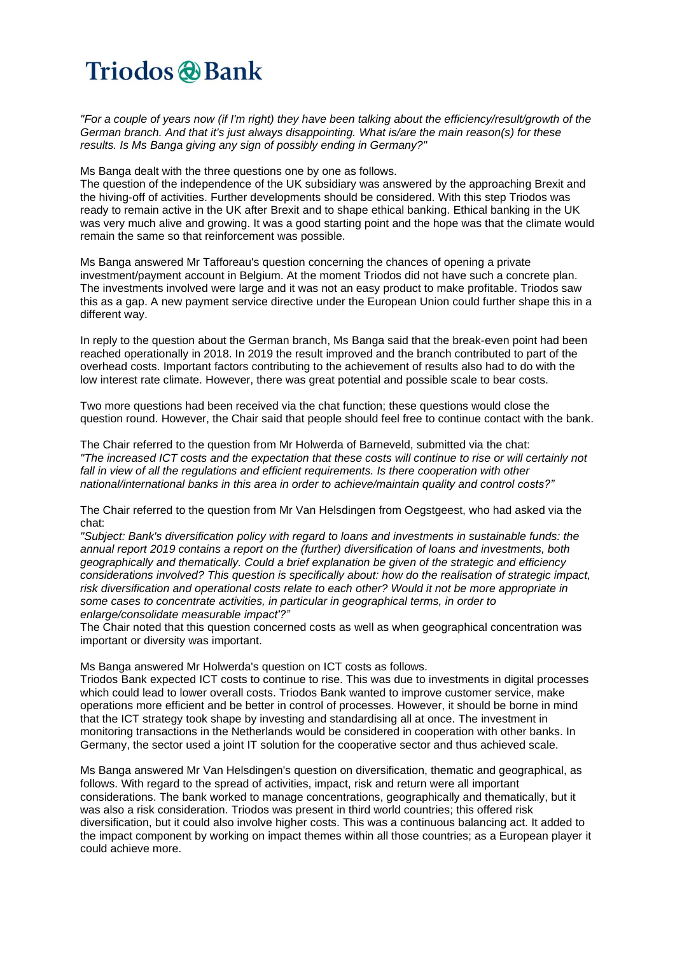"For a couple of years now (if I'm right) they have been talking about the efficiency/result/growth of the *German branch. And that it's just always disappointing. What is/are the main reason(s) for these results. Is Ms Banga giving any sign of possibly ending in Germany?"*

Ms Banga dealt with the three questions one by one as follows.

The question of the independence of the UK subsidiary was answered by the approaching Brexit and the hiving-off of activities. Further developments should be considered. With this step Triodos was ready to remain active in the UK after Brexit and to shape ethical banking. Ethical banking in the UK was very much alive and growing. It was a good starting point and the hope was that the climate would remain the same so that reinforcement was possible.

Ms Banga answered Mr Tafforeau's question concerning the chances of opening a private investment/payment account in Belgium. At the moment Triodos did not have such a concrete plan. The investments involved were large and it was not an easy product to make profitable. Triodos saw this as a gap. A new payment service directive under the European Union could further shape this in a different way.

In reply to the question about the German branch, Ms Banga said that the break-even point had been reached operationally in 2018. In 2019 the result improved and the branch contributed to part of the overhead costs. Important factors contributing to the achievement of results also had to do with the low interest rate climate. However, there was great potential and possible scale to bear costs.

Two more questions had been received via the chat function; these questions would close the question round. However, the Chair said that people should feel free to continue contact with the bank.

The Chair referred to the question from Mr Holwerda of Barneveld, submitted via the chat: "The increased ICT costs and the expectation that these costs will continue to rise or will certainly not *fall in view of all the regulations and efficient requirements. Is there cooperation with other national/international banks in this area in order to achieve/maintain quality and control costs?"*

The Chair referred to the question from Mr Van Helsdingen from Oegstgeest, who had asked via the chat:

*"Subject: Bank's diversification policy with regard to loans and investments in sustainable funds: the annual report 2019 contains a report on the (further) diversification of loans and investments, both geographically and thematically. Could a brief explanation be given of the strategic and efficiency considerations involved? This question is specifically about: how do the realisation of strategic impact, risk diversification and operational costs relate to each other? Would it not be more appropriate in some cases to concentrate activities, in particular in geographical terms, in order to enlarge/consolidate measurable impact'?"*

The Chair noted that this question concerned costs as well as when geographical concentration was important or diversity was important.

Ms Banga answered Mr Holwerda's question on ICT costs as follows.

Triodos Bank expected ICT costs to continue to rise. This was due to investments in digital processes which could lead to lower overall costs. Triodos Bank wanted to improve customer service, make operations more efficient and be better in control of processes. However, it should be borne in mind that the ICT strategy took shape by investing and standardising all at once. The investment in monitoring transactions in the Netherlands would be considered in cooperation with other banks. In Germany, the sector used a joint IT solution for the cooperative sector and thus achieved scale.

Ms Banga answered Mr Van Helsdingen's question on diversification, thematic and geographical, as follows. With regard to the spread of activities, impact, risk and return were all important considerations. The bank worked to manage concentrations, geographically and thematically, but it was also a risk consideration. Triodos was present in third world countries; this offered risk diversification, but it could also involve higher costs. This was a continuous balancing act. It added to the impact component by working on impact themes within all those countries; as a European player it could achieve more.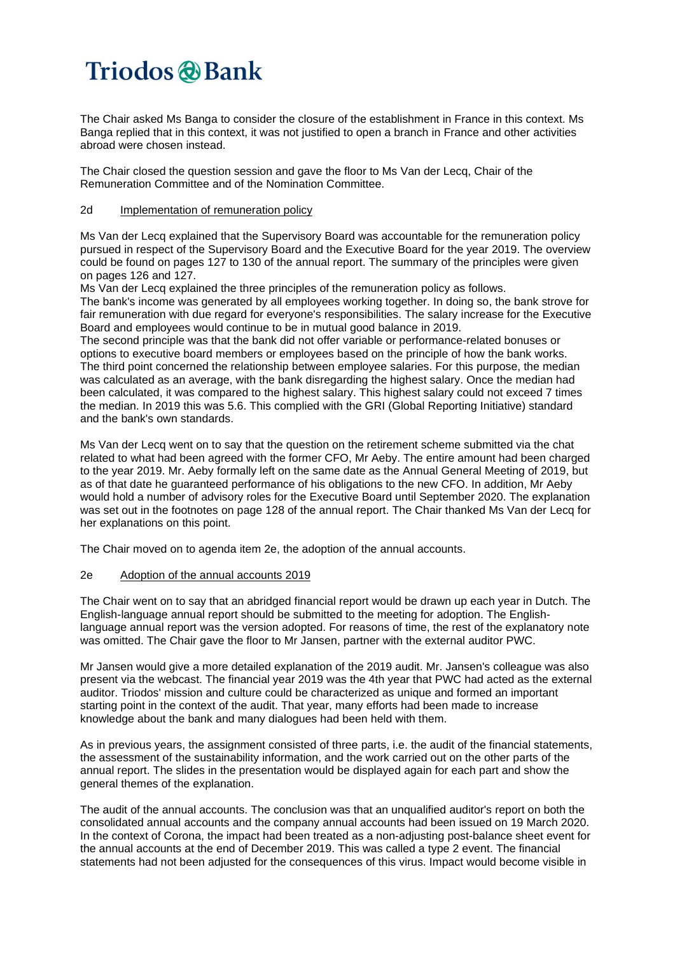The Chair asked Ms Banga to consider the closure of the establishment in France in this context. Ms Banga replied that in this context, it was not justified to open a branch in France and other activities abroad were chosen instead.

The Chair closed the question session and gave the floor to Ms Van der Lecq, Chair of the Remuneration Committee and of the Nomination Committee.

### 2d Implementation of remuneration policy

Ms Van der Lecq explained that the Supervisory Board was accountable for the remuneration policy pursued in respect of the Supervisory Board and the Executive Board for the year 2019. The overview could be found on pages 127 to 130 of the annual report. The summary of the principles were given on pages 126 and 127.

Ms Van der Lecq explained the three principles of the remuneration policy as follows.

The bank's income was generated by all employees working together. In doing so, the bank strove for fair remuneration with due regard for everyone's responsibilities. The salary increase for the Executive Board and employees would continue to be in mutual good balance in 2019.

The second principle was that the bank did not offer variable or performance-related bonuses or options to executive board members or employees based on the principle of how the bank works. The third point concerned the relationship between employee salaries. For this purpose, the median was calculated as an average, with the bank disregarding the highest salary. Once the median had been calculated, it was compared to the highest salary. This highest salary could not exceed 7 times the median. In 2019 this was 5.6. This complied with the GRI (Global Reporting Initiative) standard and the bank's own standards.

Ms Van der Lecq went on to say that the question on the retirement scheme submitted via the chat related to what had been agreed with the former CFO, Mr Aeby. The entire amount had been charged to the year 2019. Mr. Aeby formally left on the same date as the Annual General Meeting of 2019, but as of that date he guaranteed performance of his obligations to the new CFO. In addition, Mr Aeby would hold a number of advisory roles for the Executive Board until September 2020. The explanation was set out in the footnotes on page 128 of the annual report. The Chair thanked Ms Van der Lecq for her explanations on this point.

The Chair moved on to agenda item 2e, the adoption of the annual accounts.

#### 2e Adoption of the annual accounts 2019

The Chair went on to say that an abridged financial report would be drawn up each year in Dutch. The English-language annual report should be submitted to the meeting for adoption. The Englishlanguage annual report was the version adopted. For reasons of time, the rest of the explanatory note was omitted. The Chair gave the floor to Mr Jansen, partner with the external auditor PWC.

Mr Jansen would give a more detailed explanation of the 2019 audit. Mr. Jansen's colleague was also present via the webcast. The financial year 2019 was the 4th year that PWC had acted as the external auditor. Triodos' mission and culture could be characterized as unique and formed an important starting point in the context of the audit. That year, many efforts had been made to increase knowledge about the bank and many dialogues had been held with them.

As in previous years, the assignment consisted of three parts, i.e. the audit of the financial statements, the assessment of the sustainability information, and the work carried out on the other parts of the annual report. The slides in the presentation would be displayed again for each part and show the general themes of the explanation.

The audit of the annual accounts. The conclusion was that an unqualified auditor's report on both the consolidated annual accounts and the company annual accounts had been issued on 19 March 2020. In the context of Corona, the impact had been treated as a non-adjusting post-balance sheet event for the annual accounts at the end of December 2019. This was called a type 2 event. The financial statements had not been adjusted for the consequences of this virus. Impact would become visible in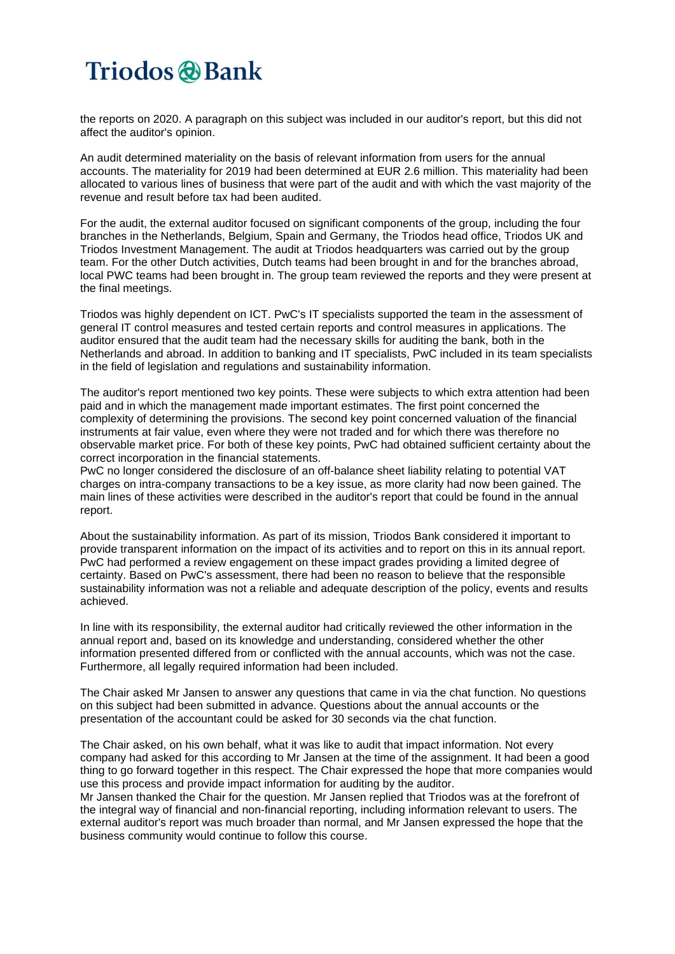the reports on 2020. A paragraph on this subject was included in our auditor's report, but this did not affect the auditor's opinion.

An audit determined materiality on the basis of relevant information from users for the annual accounts. The materiality for 2019 had been determined at EUR 2.6 million. This materiality had been allocated to various lines of business that were part of the audit and with which the vast majority of the revenue and result before tax had been audited.

For the audit, the external auditor focused on significant components of the group, including the four branches in the Netherlands, Belgium, Spain and Germany, the Triodos head office, Triodos UK and Triodos Investment Management. The audit at Triodos headquarters was carried out by the group team. For the other Dutch activities, Dutch teams had been brought in and for the branches abroad, local PWC teams had been brought in. The group team reviewed the reports and they were present at the final meetings.

Triodos was highly dependent on ICT. PwC's IT specialists supported the team in the assessment of general IT control measures and tested certain reports and control measures in applications. The auditor ensured that the audit team had the necessary skills for auditing the bank, both in the Netherlands and abroad. In addition to banking and IT specialists, PwC included in its team specialists in the field of legislation and regulations and sustainability information.

The auditor's report mentioned two key points. These were subjects to which extra attention had been paid and in which the management made important estimates. The first point concerned the complexity of determining the provisions. The second key point concerned valuation of the financial instruments at fair value, even where they were not traded and for which there was therefore no observable market price. For both of these key points, PwC had obtained sufficient certainty about the correct incorporation in the financial statements.

PwC no longer considered the disclosure of an off-balance sheet liability relating to potential VAT charges on intra-company transactions to be a key issue, as more clarity had now been gained. The main lines of these activities were described in the auditor's report that could be found in the annual report.

About the sustainability information. As part of its mission, Triodos Bank considered it important to provide transparent information on the impact of its activities and to report on this in its annual report. PwC had performed a review engagement on these impact grades providing a limited degree of certainty. Based on PwC's assessment, there had been no reason to believe that the responsible sustainability information was not a reliable and adequate description of the policy, events and results achieved.

In line with its responsibility, the external auditor had critically reviewed the other information in the annual report and, based on its knowledge and understanding, considered whether the other information presented differed from or conflicted with the annual accounts, which was not the case. Furthermore, all legally required information had been included.

The Chair asked Mr Jansen to answer any questions that came in via the chat function. No questions on this subject had been submitted in advance. Questions about the annual accounts or the presentation of the accountant could be asked for 30 seconds via the chat function.

The Chair asked, on his own behalf, what it was like to audit that impact information. Not every company had asked for this according to Mr Jansen at the time of the assignment. It had been a good thing to go forward together in this respect. The Chair expressed the hope that more companies would use this process and provide impact information for auditing by the auditor.

Mr Jansen thanked the Chair for the question. Mr Jansen replied that Triodos was at the forefront of the integral way of financial and non-financial reporting, including information relevant to users. The external auditor's report was much broader than normal, and Mr Jansen expressed the hope that the business community would continue to follow this course.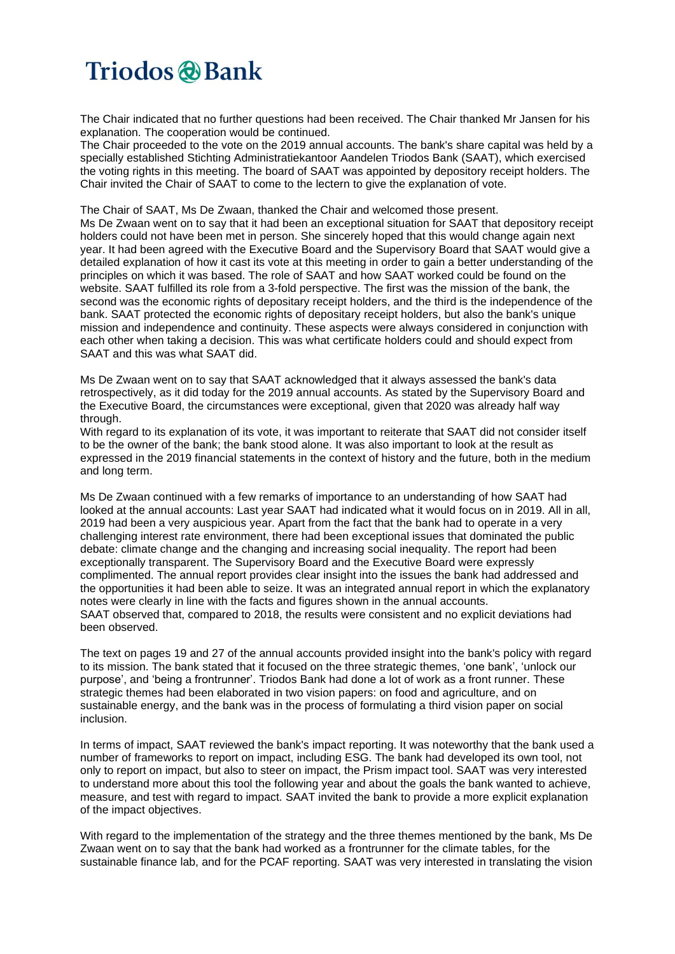The Chair indicated that no further questions had been received. The Chair thanked Mr Jansen for his explanation. The cooperation would be continued.

The Chair proceeded to the vote on the 2019 annual accounts. The bank's share capital was held by a specially established Stichting Administratiekantoor Aandelen Triodos Bank (SAAT), which exercised the voting rights in this meeting. The board of SAAT was appointed by depository receipt holders. The Chair invited the Chair of SAAT to come to the lectern to give the explanation of vote.

The Chair of SAAT, Ms De Zwaan, thanked the Chair and welcomed those present.

Ms De Zwaan went on to say that it had been an exceptional situation for SAAT that depository receipt holders could not have been met in person. She sincerely hoped that this would change again next year. It had been agreed with the Executive Board and the Supervisory Board that SAAT would give a detailed explanation of how it cast its vote at this meeting in order to gain a better understanding of the principles on which it was based. The role of SAAT and how SAAT worked could be found on the website. SAAT fulfilled its role from a 3-fold perspective. The first was the mission of the bank, the second was the economic rights of depositary receipt holders, and the third is the independence of the bank. SAAT protected the economic rights of depositary receipt holders, but also the bank's unique mission and independence and continuity. These aspects were always considered in conjunction with each other when taking a decision. This was what certificate holders could and should expect from SAAT and this was what SAAT did.

Ms De Zwaan went on to say that SAAT acknowledged that it always assessed the bank's data retrospectively, as it did today for the 2019 annual accounts. As stated by the Supervisory Board and the Executive Board, the circumstances were exceptional, given that 2020 was already half way through.

With regard to its explanation of its vote, it was important to reiterate that SAAT did not consider itself to be the owner of the bank; the bank stood alone. It was also important to look at the result as expressed in the 2019 financial statements in the context of history and the future, both in the medium and long term.

Ms De Zwaan continued with a few remarks of importance to an understanding of how SAAT had looked at the annual accounts: Last year SAAT had indicated what it would focus on in 2019. All in all, 2019 had been a very auspicious year. Apart from the fact that the bank had to operate in a very challenging interest rate environment, there had been exceptional issues that dominated the public debate: climate change and the changing and increasing social inequality. The report had been exceptionally transparent. The Supervisory Board and the Executive Board were expressly complimented. The annual report provides clear insight into the issues the bank had addressed and the opportunities it had been able to seize. It was an integrated annual report in which the explanatory notes were clearly in line with the facts and figures shown in the annual accounts. SAAT observed that, compared to 2018, the results were consistent and no explicit deviations had been observed.

The text on pages 19 and 27 of the annual accounts provided insight into the bank's policy with regard to its mission. The bank stated that it focused on the three strategic themes, 'one bank', 'unlock our purpose', and 'being a frontrunner'. Triodos Bank had done a lot of work as a front runner. These strategic themes had been elaborated in two vision papers: on food and agriculture, and on sustainable energy, and the bank was in the process of formulating a third vision paper on social inclusion.

In terms of impact, SAAT reviewed the bank's impact reporting. It was noteworthy that the bank used a number of frameworks to report on impact, including ESG. The bank had developed its own tool, not only to report on impact, but also to steer on impact, the Prism impact tool. SAAT was very interested to understand more about this tool the following year and about the goals the bank wanted to achieve, measure, and test with regard to impact. SAAT invited the bank to provide a more explicit explanation of the impact objectives.

With regard to the implementation of the strategy and the three themes mentioned by the bank, Ms De Zwaan went on to say that the bank had worked as a frontrunner for the climate tables, for the sustainable finance lab, and for the PCAF reporting. SAAT was very interested in translating the vision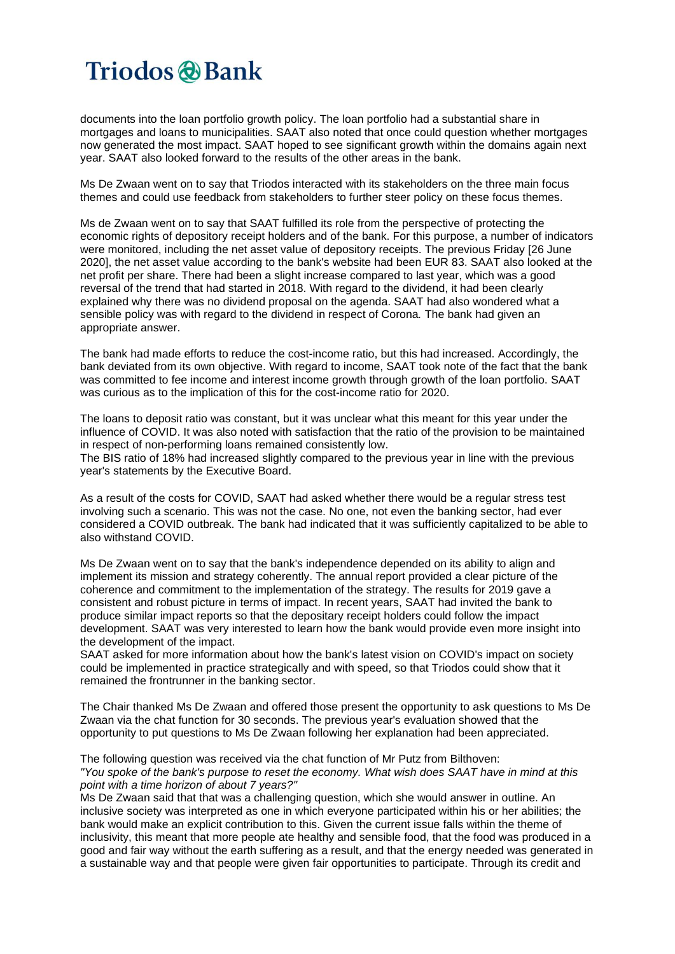documents into the loan portfolio growth policy. The loan portfolio had a substantial share in mortgages and loans to municipalities. SAAT also noted that once could question whether mortgages now generated the most impact. SAAT hoped to see significant growth within the domains again next year. SAAT also looked forward to the results of the other areas in the bank.

Ms De Zwaan went on to say that Triodos interacted with its stakeholders on the three main focus themes and could use feedback from stakeholders to further steer policy on these focus themes.

Ms de Zwaan went on to say that SAAT fulfilled its role from the perspective of protecting the economic rights of depository receipt holders and of the bank. For this purpose, a number of indicators were monitored, including the net asset value of depository receipts. The previous Friday [26 June 2020], the net asset value according to the bank's website had been EUR 83. SAAT also looked at the net profit per share. There had been a slight increase compared to last year, which was a good reversal of the trend that had started in 2018. With regard to the dividend, it had been clearly explained why there was no dividend proposal on the agenda. SAAT had also wondered what a sensible policy was with regard to the dividend in respect of Corona*.* The bank had given an appropriate answer.

The bank had made efforts to reduce the cost-income ratio, but this had increased. Accordingly, the bank deviated from its own objective. With regard to income, SAAT took note of the fact that the bank was committed to fee income and interest income growth through growth of the loan portfolio. SAAT was curious as to the implication of this for the cost-income ratio for 2020.

The loans to deposit ratio was constant, but it was unclear what this meant for this year under the influence of COVID. It was also noted with satisfaction that the ratio of the provision to be maintained in respect of non-performing loans remained consistently low.

The BIS ratio of 18% had increased slightly compared to the previous year in line with the previous year's statements by the Executive Board.

As a result of the costs for COVID, SAAT had asked whether there would be a regular stress test involving such a scenario. This was not the case. No one, not even the banking sector, had ever considered a COVID outbreak. The bank had indicated that it was sufficiently capitalized to be able to also withstand COVID.

Ms De Zwaan went on to say that the bank's independence depended on its ability to align and implement its mission and strategy coherently. The annual report provided a clear picture of the coherence and commitment to the implementation of the strategy. The results for 2019 gave a consistent and robust picture in terms of impact. In recent years, SAAT had invited the bank to produce similar impact reports so that the depositary receipt holders could follow the impact development. SAAT was very interested to learn how the bank would provide even more insight into the development of the impact.

SAAT asked for more information about how the bank's latest vision on COVID's impact on society could be implemented in practice strategically and with speed, so that Triodos could show that it remained the frontrunner in the banking sector.

The Chair thanked Ms De Zwaan and offered those present the opportunity to ask questions to Ms De Zwaan via the chat function for 30 seconds. The previous year's evaluation showed that the opportunity to put questions to Ms De Zwaan following her explanation had been appreciated.

The following question was received via the chat function of Mr Putz from Bilthoven: "You spoke of the bank's purpose to reset the economy. What wish does SAAT have in mind at this *point with a time horizon of about 7 years?"*

Ms De Zwaan said that that was a challenging question, which she would answer in outline. An inclusive society was interpreted as one in which everyone participated within his or her abilities; the bank would make an explicit contribution to this. Given the current issue falls within the theme of inclusivity, this meant that more people ate healthy and sensible food, that the food was produced in a good and fair way without the earth suffering as a result, and that the energy needed was generated in a sustainable way and that people were given fair opportunities to participate. Through its credit and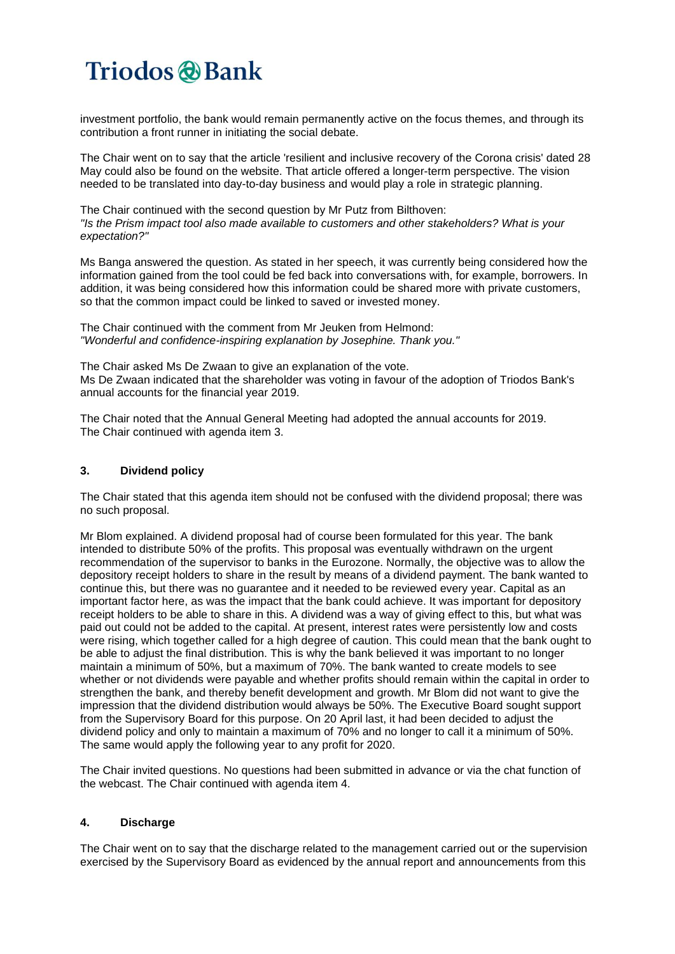investment portfolio, the bank would remain permanently active on the focus themes, and through its contribution a front runner in initiating the social debate.

The Chair went on to say that the article 'resilient and inclusive recovery of the Corona crisis' dated 28 May could also be found on the website. That article offered a longer-term perspective. The vision needed to be translated into day-to-day business and would play a role in strategic planning.

The Chair continued with the second question by Mr Putz from Bilthoven: *"Is the Prism impact tool also made available to customers and other stakeholders? What is your expectation?"*

Ms Banga answered the question. As stated in her speech, it was currently being considered how the information gained from the tool could be fed back into conversations with, for example, borrowers. In addition, it was being considered how this information could be shared more with private customers, so that the common impact could be linked to saved or invested money.

The Chair continued with the comment from Mr Jeuken from Helmond: *"Wonderful and confidence-inspiring explanation by Josephine. Thank you."*

The Chair asked Ms De Zwaan to give an explanation of the vote. Ms De Zwaan indicated that the shareholder was voting in favour of the adoption of Triodos Bank's annual accounts for the financial year 2019.

The Chair noted that the Annual General Meeting had adopted the annual accounts for 2019. The Chair continued with agenda item 3.

### **3. Dividend policy**

The Chair stated that this agenda item should not be confused with the dividend proposal; there was no such proposal.

Mr Blom explained. A dividend proposal had of course been formulated for this year. The bank intended to distribute 50% of the profits. This proposal was eventually withdrawn on the urgent recommendation of the supervisor to banks in the Eurozone. Normally, the objective was to allow the depository receipt holders to share in the result by means of a dividend payment. The bank wanted to continue this, but there was no guarantee and it needed to be reviewed every year. Capital as an important factor here, as was the impact that the bank could achieve. It was important for depository receipt holders to be able to share in this. A dividend was a way of giving effect to this, but what was paid out could not be added to the capital. At present, interest rates were persistently low and costs were rising, which together called for a high degree of caution. This could mean that the bank ought to be able to adjust the final distribution. This is why the bank believed it was important to no longer maintain a minimum of 50%, but a maximum of 70%. The bank wanted to create models to see whether or not dividends were payable and whether profits should remain within the capital in order to strengthen the bank, and thereby benefit development and growth. Mr Blom did not want to give the impression that the dividend distribution would always be 50%. The Executive Board sought support from the Supervisory Board for this purpose. On 20 April last, it had been decided to adjust the dividend policy and only to maintain a maximum of 70% and no longer to call it a minimum of 50%. The same would apply the following year to any profit for 2020.

The Chair invited questions. No questions had been submitted in advance or via the chat function of the webcast. The Chair continued with agenda item 4.

#### **4. Discharge**

The Chair went on to say that the discharge related to the management carried out or the supervision exercised by the Supervisory Board as evidenced by the annual report and announcements from this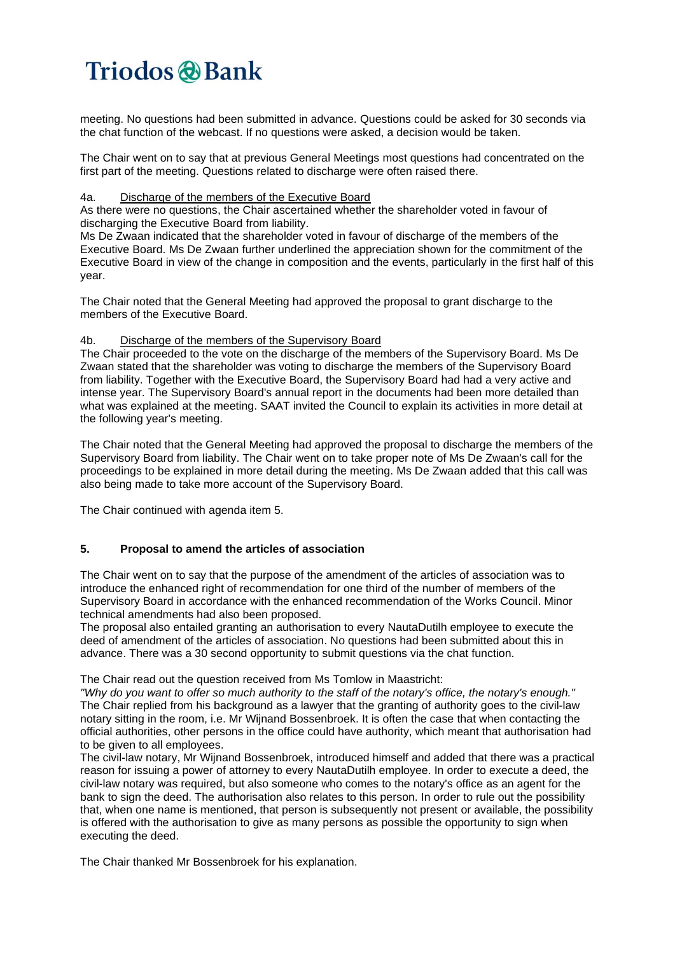meeting. No questions had been submitted in advance. Questions could be asked for 30 seconds via the chat function of the webcast. If no questions were asked, a decision would be taken.

The Chair went on to say that at previous General Meetings most questions had concentrated on the first part of the meeting. Questions related to discharge were often raised there.

#### 4a. Discharge of the members of the Executive Board

As there were no questions, the Chair ascertained whether the shareholder voted in favour of discharging the Executive Board from liability.

Ms De Zwaan indicated that the shareholder voted in favour of discharge of the members of the Executive Board. Ms De Zwaan further underlined the appreciation shown for the commitment of the Executive Board in view of the change in composition and the events, particularly in the first half of this year.

The Chair noted that the General Meeting had approved the proposal to grant discharge to the members of the Executive Board.

### 4b. Discharge of the members of the Supervisory Board

The Chair proceeded to the vote on the discharge of the members of the Supervisory Board. Ms De Zwaan stated that the shareholder was voting to discharge the members of the Supervisory Board from liability. Together with the Executive Board, the Supervisory Board had had a very active and intense year. The Supervisory Board's annual report in the documents had been more detailed than what was explained at the meeting. SAAT invited the Council to explain its activities in more detail at the following year's meeting.

The Chair noted that the General Meeting had approved the proposal to discharge the members of the Supervisory Board from liability. The Chair went on to take proper note of Ms De Zwaan's call for the proceedings to be explained in more detail during the meeting. Ms De Zwaan added that this call was also being made to take more account of the Supervisory Board.

The Chair continued with agenda item 5.

### **5. Proposal to amend the articles of association**

The Chair went on to say that the purpose of the amendment of the articles of association was to introduce the enhanced right of recommendation for one third of the number of members of the Supervisory Board in accordance with the enhanced recommendation of the Works Council. Minor technical amendments had also been proposed.

The proposal also entailed granting an authorisation to every NautaDutilh employee to execute the deed of amendment of the articles of association. No questions had been submitted about this in advance. There was a 30 second opportunity to submit questions via the chat function.

The Chair read out the question received from Ms Tomlow in Maastricht:

"Why do you want to offer so much authority to the staff of the notary's office, the notary's enough." The Chair replied from his background as a lawyer that the granting of authority goes to the civil-law notary sitting in the room, i.e. Mr Wijnand Bossenbroek. It is often the case that when contacting the official authorities, other persons in the office could have authority, which meant that authorisation had to be given to all employees.

The civil-law notary, Mr Wijnand Bossenbroek, introduced himself and added that there was a practical reason for issuing a power of attorney to every NautaDutilh employee. In order to execute a deed, the civil-law notary was required, but also someone who comes to the notary's office as an agent for the bank to sign the deed. The authorisation also relates to this person. In order to rule out the possibility that, when one name is mentioned, that person is subsequently not present or available, the possibility is offered with the authorisation to give as many persons as possible the opportunity to sign when executing the deed.

The Chair thanked Mr Bossenbroek for his explanation.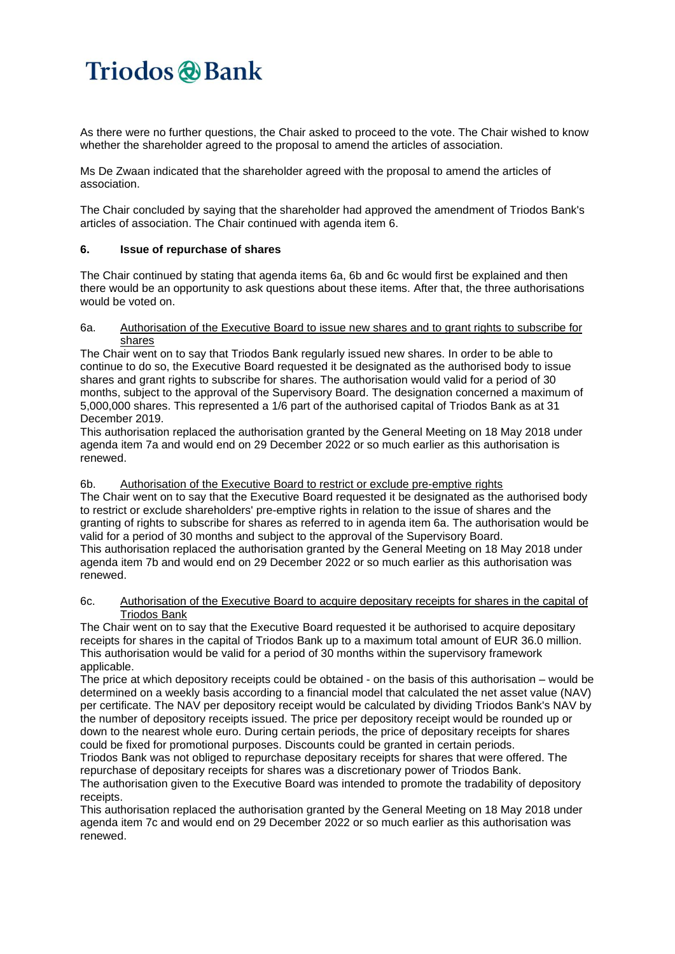As there were no further questions, the Chair asked to proceed to the vote. The Chair wished to know whether the shareholder agreed to the proposal to amend the articles of association.

Ms De Zwaan indicated that the shareholder agreed with the proposal to amend the articles of association.

The Chair concluded by saying that the shareholder had approved the amendment of Triodos Bank's articles of association. The Chair continued with agenda item 6.

### **6. Issue of repurchase of shares**

The Chair continued by stating that agenda items 6a, 6b and 6c would first be explained and then there would be an opportunity to ask questions about these items. After that, the three authorisations would be voted on.

#### 6a. Authorisation of the Executive Board to issue new shares and to grant rights to subscribe for shares

The Chair went on to say that Triodos Bank regularly issued new shares. In order to be able to continue to do so, the Executive Board requested it be designated as the authorised body to issue shares and grant rights to subscribe for shares. The authorisation would valid for a period of 30 months, subject to the approval of the Supervisory Board. The designation concerned a maximum of 5,000,000 shares. This represented a 1/6 part of the authorised capital of Triodos Bank as at 31 December 2019.

This authorisation replaced the authorisation granted by the General Meeting on 18 May 2018 under agenda item 7a and would end on 29 December 2022 or so much earlier as this authorisation is renewed.

### 6b. Authorisation of the Executive Board to restrict or exclude pre-emptive rights

The Chair went on to say that the Executive Board requested it be designated as the authorised body to restrict or exclude shareholders' pre-emptive rights in relation to the issue of shares and the granting of rights to subscribe for shares as referred to in agenda item 6a. The authorisation would be valid for a period of 30 months and subject to the approval of the Supervisory Board. This authorisation replaced the authorisation granted by the General Meeting on 18 May 2018 under agenda item 7b and would end on 29 December 2022 or so much earlier as this authorisation was renewed.

#### 6c. Authorisation of the Executive Board to acquire depositary receipts for shares in the capital of Triodos Bank

The Chair went on to say that the Executive Board requested it be authorised to acquire depositary receipts for shares in the capital of Triodos Bank up to a maximum total amount of EUR 36.0 million. This authorisation would be valid for a period of 30 months within the supervisory framework applicable.

The price at which depository receipts could be obtained - on the basis of this authorisation – would be determined on a weekly basis according to a financial model that calculated the net asset value (NAV) per certificate. The NAV per depository receipt would be calculated by dividing Triodos Bank's NAV by the number of depository receipts issued. The price per depository receipt would be rounded up or down to the nearest whole euro. During certain periods, the price of depositary receipts for shares could be fixed for promotional purposes. Discounts could be granted in certain periods.

Triodos Bank was not obliged to repurchase depositary receipts for shares that were offered. The repurchase of depositary receipts for shares was a discretionary power of Triodos Bank.

The authorisation given to the Executive Board was intended to promote the tradability of depository receipts.

This authorisation replaced the authorisation granted by the General Meeting on 18 May 2018 under agenda item 7c and would end on 29 December 2022 or so much earlier as this authorisation was renewed.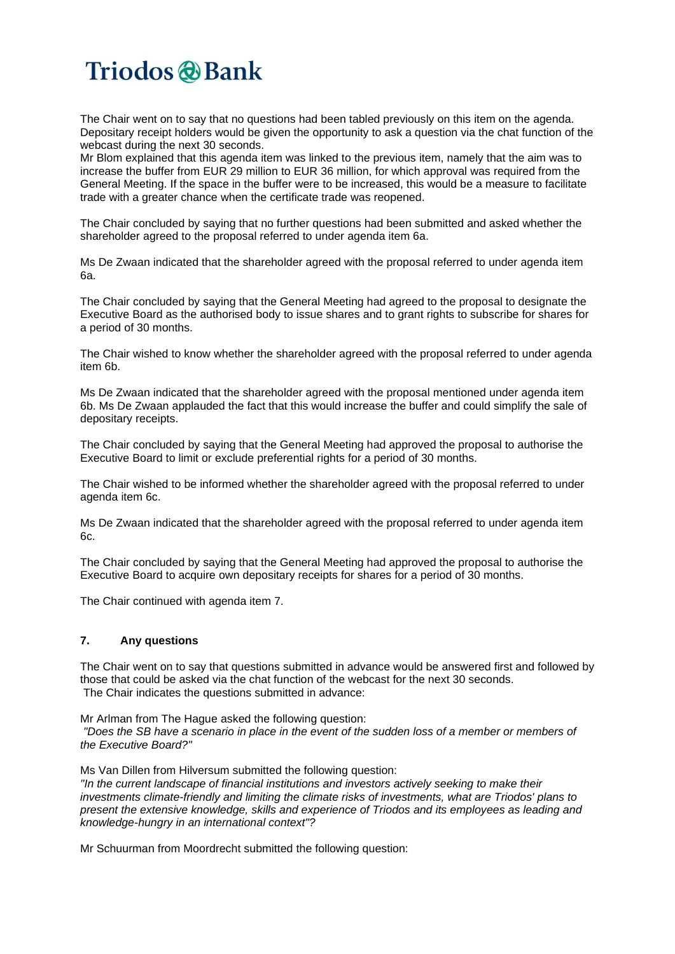The Chair went on to say that no questions had been tabled previously on this item on the agenda. Depositary receipt holders would be given the opportunity to ask a question via the chat function of the webcast during the next 30 seconds.

Mr Blom explained that this agenda item was linked to the previous item, namely that the aim was to increase the buffer from EUR 29 million to EUR 36 million, for which approval was required from the General Meeting. If the space in the buffer were to be increased, this would be a measure to facilitate trade with a greater chance when the certificate trade was reopened.

The Chair concluded by saying that no further questions had been submitted and asked whether the shareholder agreed to the proposal referred to under agenda item 6a.

Ms De Zwaan indicated that the shareholder agreed with the proposal referred to under agenda item 6a.

The Chair concluded by saying that the General Meeting had agreed to the proposal to designate the Executive Board as the authorised body to issue shares and to grant rights to subscribe for shares for a period of 30 months.

The Chair wished to know whether the shareholder agreed with the proposal referred to under agenda item 6b.

Ms De Zwaan indicated that the shareholder agreed with the proposal mentioned under agenda item 6b. Ms De Zwaan applauded the fact that this would increase the buffer and could simplify the sale of depositary receipts.

The Chair concluded by saying that the General Meeting had approved the proposal to authorise the Executive Board to limit or exclude preferential rights for a period of 30 months.

The Chair wished to be informed whether the shareholder agreed with the proposal referred to under agenda item 6c.

Ms De Zwaan indicated that the shareholder agreed with the proposal referred to under agenda item 6c.

The Chair concluded by saying that the General Meeting had approved the proposal to authorise the Executive Board to acquire own depositary receipts for shares for a period of 30 months.

The Chair continued with agenda item 7.

### **7. Any questions**

The Chair went on to say that questions submitted in advance would be answered first and followed by those that could be asked via the chat function of the webcast for the next 30 seconds. The Chair indicates the questions submitted in advance:

Mr Arlman from The Hague asked the following question:

"Does the SB have a scenario in place in the event of the sudden loss of a member or members of *the Executive Board?"*

Ms Van Dillen from Hilversum submitted the following question:

*"In the current landscape of financial institutions and investors actively seeking to make their investments climate-friendly and limiting the climate risks of investments, what are Triodos' plans to present the extensive knowledge, skills and experience of Triodos and its employees as leading and knowledge-hungry in an international context"?*

Mr Schuurman from Moordrecht submitted the following question: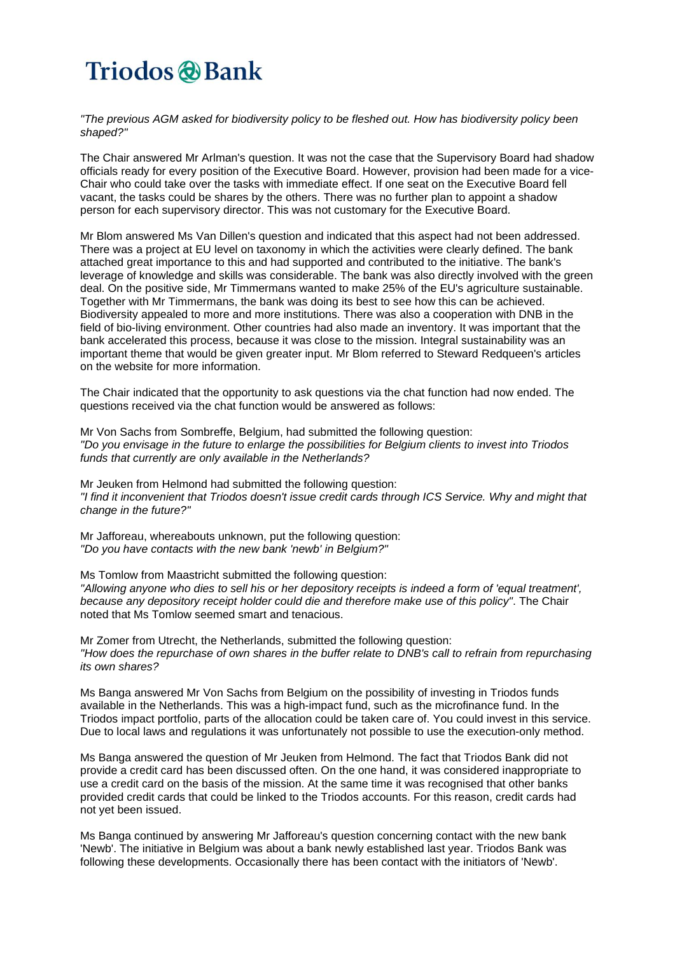*"The previous AGM asked for biodiversity policy to be fleshed out. How has biodiversity policy been shaped?"*

The Chair answered Mr Arlman's question. It was not the case that the Supervisory Board had shadow officials ready for every position of the Executive Board. However, provision had been made for a vice-Chair who could take over the tasks with immediate effect. If one seat on the Executive Board fell vacant, the tasks could be shares by the others. There was no further plan to appoint a shadow person for each supervisory director. This was not customary for the Executive Board.

Mr Blom answered Ms Van Dillen's question and indicated that this aspect had not been addressed. There was a project at EU level on taxonomy in which the activities were clearly defined. The bank attached great importance to this and had supported and contributed to the initiative. The bank's leverage of knowledge and skills was considerable. The bank was also directly involved with the green deal. On the positive side, Mr Timmermans wanted to make 25% of the EU's agriculture sustainable. Together with Mr Timmermans, the bank was doing its best to see how this can be achieved. Biodiversity appealed to more and more institutions. There was also a cooperation with DNB in the field of bio-living environment. Other countries had also made an inventory. It was important that the bank accelerated this process, because it was close to the mission. Integral sustainability was an important theme that would be given greater input. Mr Blom referred to Steward Redqueen's articles on the website for more information.

The Chair indicated that the opportunity to ask questions via the chat function had now ended. The questions received via the chat function would be answered as follows:

Mr Von Sachs from Sombreffe, Belgium, had submitted the following question: *"Do you envisage in the future to enlarge the possibilities for Belgium clients to invest into Triodos funds that currently are only available in the Netherlands?*

Mr Jeuken from Helmond had submitted the following question: *"I find it inconvenient that Triodos doesn't issue credit cards through ICS Service. Why and might that change in the future?"*

Mr Jafforeau, whereabouts unknown, put the following question: *"Do you have contacts with the new bank 'newb' in Belgium?"*

Ms Tomlow from Maastricht submitted the following question: "Allowing anyone who dies to sell his or her depository receipts is indeed a form of 'equal treatment'. *because any depository receipt holder could die and therefore make use of this policy"*. The Chair noted that Ms Tomlow seemed smart and tenacious.

Mr Zomer from Utrecht, the Netherlands, submitted the following question: "How does the repurchase of own shares in the buffer relate to DNB's call to refrain from repurchasing *its own shares?*

Ms Banga answered Mr Von Sachs from Belgium on the possibility of investing in Triodos funds available in the Netherlands. This was a high-impact fund, such as the microfinance fund. In the Triodos impact portfolio, parts of the allocation could be taken care of. You could invest in this service. Due to local laws and regulations it was unfortunately not possible to use the execution-only method.

Ms Banga answered the question of Mr Jeuken from Helmond. The fact that Triodos Bank did not provide a credit card has been discussed often. On the one hand, it was considered inappropriate to use a credit card on the basis of the mission. At the same time it was recognised that other banks provided credit cards that could be linked to the Triodos accounts. For this reason, credit cards had not yet been issued.

Ms Banga continued by answering Mr Jafforeau's question concerning contact with the new bank 'Newb'. The initiative in Belgium was about a bank newly established last year. Triodos Bank was following these developments. Occasionally there has been contact with the initiators of 'Newb'.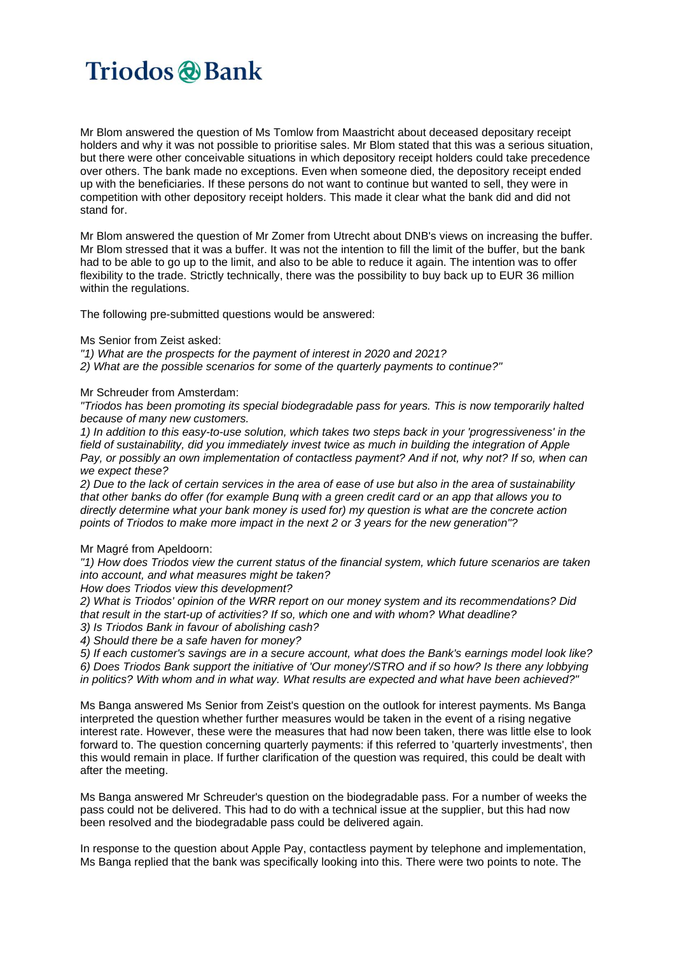Mr Blom answered the question of Ms Tomlow from Maastricht about deceased depositary receipt holders and why it was not possible to prioritise sales. Mr Blom stated that this was a serious situation, but there were other conceivable situations in which depository receipt holders could take precedence over others. The bank made no exceptions. Even when someone died, the depository receipt ended up with the beneficiaries. If these persons do not want to continue but wanted to sell, they were in competition with other depository receipt holders. This made it clear what the bank did and did not stand for.

Mr Blom answered the question of Mr Zomer from Utrecht about DNB's views on increasing the buffer. Mr Blom stressed that it was a buffer. It was not the intention to fill the limit of the buffer, but the bank had to be able to go up to the limit, and also to be able to reduce it again. The intention was to offer flexibility to the trade. Strictly technically, there was the possibility to buy back up to EUR 36 million within the regulations.

The following pre-submitted questions would be answered:

#### Ms Senior from Zeist asked:

*"1) What are the prospects for the payment of interest in 2020 and 2021?*

*2) What are the possible scenarios for some of the quarterly payments to continue?"*

#### Mr Schreuder from Amsterdam:

*"Triodos has been promoting its special biodegradable pass for years. This is now temporarily halted because of many new customers.*

*1) In addition to this easy-to-use solution, which takes two steps back in your 'progressiveness' in the field of sustainability, did you immediately invest twice as much in building the integration of Apple* Pay, or possibly an own implementation of contactless payment? And if not, why not? If so, when can *we expect these?*

2) Due to the lack of certain services in the area of ease of use but also in the area of sustainability that other banks do offer (for example Bunq with a green credit card or an app that allows you to *directly determine what your bank money is used for) my question is what are the concrete action points of Triodos to make more impact in the next 2 or 3 years for the new generation"?*

#### Mr Magré from Apeldoorn:

*"1) How does Triodos view the current status of the financial system, which future scenarios are taken into account, and what measures might be taken?*

*How does Triodos view this development?*

*2) What is Triodos' opinion of the WRR report on our money system and its recommendations? Did that result in the start-up of activities? If so, which one and with whom? What deadline? 3) Is Triodos Bank in favour of abolishing cash?*

*4) Should there be a safe haven for money?*

5) If each customer's savings are in a secure account, what does the Bank's earnings model look like? 6) Does Triodos Bank support the initiative of 'Our money'/STRO and if so how? Is there any lobbying *in politics? With whom and in what way. What results are expected and what have been achieved?"*

Ms Banga answered Ms Senior from Zeist's question on the outlook for interest payments. Ms Banga interpreted the question whether further measures would be taken in the event of a rising negative interest rate. However, these were the measures that had now been taken, there was little else to look forward to. The question concerning quarterly payments: if this referred to 'quarterly investments', then this would remain in place. If further clarification of the question was required, this could be dealt with after the meeting.

Ms Banga answered Mr Schreuder's question on the biodegradable pass. For a number of weeks the pass could not be delivered. This had to do with a technical issue at the supplier, but this had now been resolved and the biodegradable pass could be delivered again.

In response to the question about Apple Pay, contactless payment by telephone and implementation, Ms Banga replied that the bank was specifically looking into this. There were two points to note. The